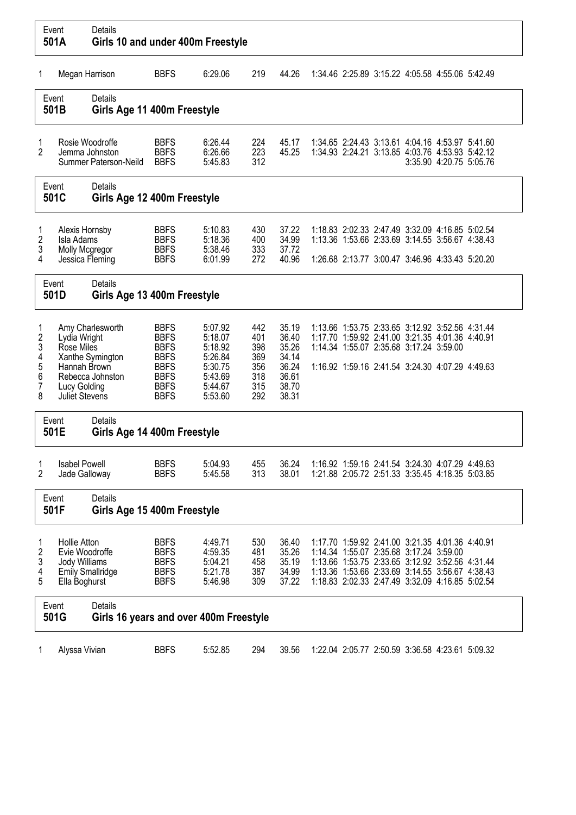|                                                   | Event<br>501A                                                                                                                            | <b>Details</b><br>Girls 10 and under 400m Freestyle        |                                                                                                                      |                                                                                      |                                                      |                                                                      |  |                                                                                                                                                                                                                                                     |                         |  |
|---------------------------------------------------|------------------------------------------------------------------------------------------------------------------------------------------|------------------------------------------------------------|----------------------------------------------------------------------------------------------------------------------|--------------------------------------------------------------------------------------|------------------------------------------------------|----------------------------------------------------------------------|--|-----------------------------------------------------------------------------------------------------------------------------------------------------------------------------------------------------------------------------------------------------|-------------------------|--|
| 1                                                 | Megan Harrison                                                                                                                           |                                                            | <b>BBFS</b>                                                                                                          | 6:29.06                                                                              | 219                                                  | 44.26                                                                |  | 1:34.46 2:25.89 3:15.22 4:05.58 4:55.06 5:42.49                                                                                                                                                                                                     |                         |  |
|                                                   | Event<br>501B                                                                                                                            | Details<br>Girls Age 11 400m Freestyle                     |                                                                                                                      |                                                                                      |                                                      |                                                                      |  |                                                                                                                                                                                                                                                     |                         |  |
| 1<br>2                                            |                                                                                                                                          | Rosie Woodroffe<br>Jemma Johnston<br>Summer Paterson-Neild | <b>BBFS</b><br><b>BBFS</b><br><b>BBFS</b>                                                                            | 6:26.44<br>6:26.66<br>5:45.83                                                        | 224<br>223<br>312                                    | 45.17<br>45.25                                                       |  | 1:34.65 2:24.43 3:13.61 4:04.16 4:53.97 5:41.60<br>1:34.93 2:24.21 3:13.85 4:03.76 4:53.93 5:42.12                                                                                                                                                  | 3:35.90 4:20.75 5:05.76 |  |
| Event<br>501C                                     |                                                                                                                                          | Details<br>Girls Age 12 400m Freestyle                     |                                                                                                                      |                                                                                      |                                                      |                                                                      |  |                                                                                                                                                                                                                                                     |                         |  |
| 1<br>2<br>3<br>4                                  | Alexis Hornsby<br>Isla Adams<br>Molly Mcgregor<br>Jessica Fleming                                                                        |                                                            | <b>BBFS</b><br><b>BBFS</b><br><b>BBFS</b><br><b>BBFS</b>                                                             | 5:10.83<br>5:18.36<br>5:38.46<br>6:01.99                                             | 430<br>400<br>333<br>272                             | 37.22<br>34.99<br>37.72<br>40.96                                     |  | 1:18.83 2:02.33 2:47.49 3:32.09 4:16.85 5:02.54<br>1:13.36 1:53.66 2:33.69 3:14.55 3:56.67 4:38.43<br>1:26.68 2:13.77 3:00.47 3:46.96 4:33.43 5:20.20                                                                                               |                         |  |
| Event<br>501D                                     |                                                                                                                                          | <b>Details</b><br>Girls Age 13 400m Freestyle              |                                                                                                                      |                                                                                      |                                                      |                                                                      |  |                                                                                                                                                                                                                                                     |                         |  |
| 1<br>$\overline{2}$<br>3<br>4<br>5<br>6<br>7<br>8 | Amy Charlesworth<br>Lydia Wright<br>Rose Miles<br>Xanthe Symington<br>Hannah Brown<br>Rebecca Johnston<br>Lucy Golding<br>Juliet Stevens |                                                            | <b>BBFS</b><br><b>BBFS</b><br><b>BBFS</b><br><b>BBFS</b><br><b>BBFS</b><br><b>BBFS</b><br><b>BBFS</b><br><b>BBFS</b> | 5:07.92<br>5:18.07<br>5:18.92<br>5:26.84<br>5:30.75<br>5:43.69<br>5:44.67<br>5:53.60 | 442<br>401<br>398<br>369<br>356<br>318<br>315<br>292 | 35.19<br>36.40<br>35.26<br>34.14<br>36.24<br>36.61<br>38.70<br>38.31 |  | 1:13.66 1:53.75 2:33.65 3:12.92 3:52.56 4:31.44<br>1:17.70 1:59.92 2:41.00 3:21.35 4:01.36 4:40.91<br>1:14.34 1:55.07 2:35.68 3:17.24 3:59.00<br>1:16.92 1:59.16 2:41.54 3:24.30 4:07.29 4:49.63                                                    |                         |  |
|                                                   | Event<br>501E                                                                                                                            | <b>Details</b><br>Girls Age 14 400m Freestyle              |                                                                                                                      |                                                                                      |                                                      |                                                                      |  |                                                                                                                                                                                                                                                     |                         |  |
| 1<br>2                                            | <b>Isabel Powell</b><br>Jade Galloway                                                                                                    |                                                            | <b>BBFS</b><br><b>BBFS</b>                                                                                           | 5:04.93<br>5:45.58                                                                   | 455<br>313                                           | 36.24<br>38.01                                                       |  | 1:16.92 1:59.16 2:41.54 3:24.30 4:07.29 4:49.63<br>1:21.88 2:05.72 2:51.33 3:35.45 4:18.35 5:03.85                                                                                                                                                  |                         |  |
|                                                   | Event<br>501F                                                                                                                            | Details<br>Girls Age 15 400m Freestyle                     |                                                                                                                      |                                                                                      |                                                      |                                                                      |  |                                                                                                                                                                                                                                                     |                         |  |
| 1<br>2<br>3<br>4<br>5                             | <b>Hollie Atton</b><br>Evie Woodroffe<br>Jody Williams<br>Ella Boghurst                                                                  | <b>Emily Smallridge</b>                                    | <b>BBFS</b><br><b>BBFS</b><br><b>BBFS</b><br><b>BBFS</b><br><b>BBFS</b>                                              | 4:49.71<br>4:59.35<br>5:04.21<br>5:21.78<br>5:46.98                                  | 530<br>481<br>458<br>387<br>309                      | 36.40<br>35.26<br>35.19<br>34.99<br>37.22                            |  | 1:17.70 1:59.92 2:41.00 3:21.35 4:01.36 4:40.91<br>1:14.34 1:55.07 2:35.68 3:17.24 3:59.00<br>1:13.66 1:53.75 2:33.65 3:12.92 3:52.56 4:31.44<br>1:13.36 1:53.66 2:33.69 3:14.55 3:56.67 4:38.43<br>1:18.83 2:02.33 2:47.49 3:32.09 4:16.85 5:02.54 |                         |  |
|                                                   | Event<br>501G                                                                                                                            | Details<br>Girls 16 years and over 400m Freestyle          |                                                                                                                      |                                                                                      |                                                      |                                                                      |  |                                                                                                                                                                                                                                                     |                         |  |
| $\mathbf{1}$                                      | Alyssa Vivian                                                                                                                            |                                                            | <b>BBFS</b>                                                                                                          | 5:52.85                                                                              | 294                                                  | 39.56                                                                |  | 1:22.04 2:05.77 2:50.59 3:36.58 4:23.61 5:09.32                                                                                                                                                                                                     |                         |  |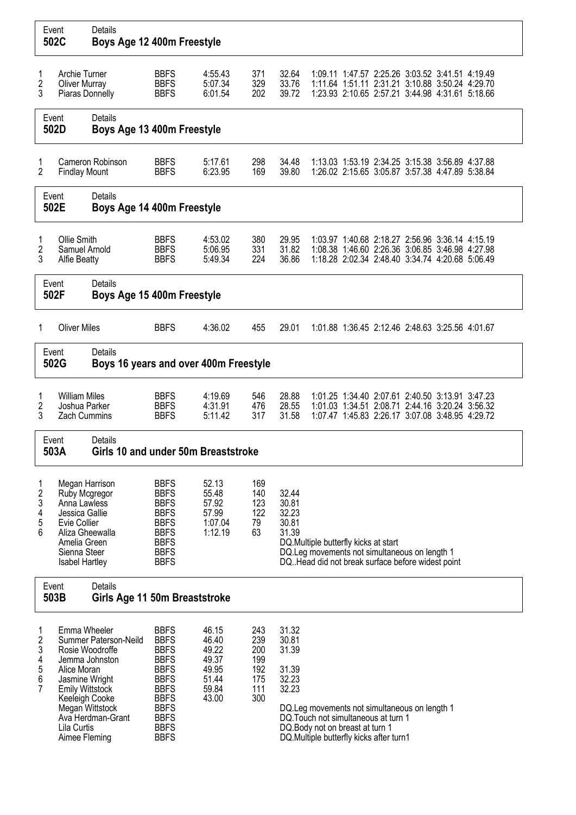|                                                                                                                                                                                                                                           | Event<br>502C                                                                                                                                          | <b>Details</b><br>Boys Age 12 400m Freestyle     |                                                                                                                                                                                  |                                                                      |                                                      |                                                    |                                                                                                                                                                        |                                                                                                                                                            |  |  |
|-------------------------------------------------------------------------------------------------------------------------------------------------------------------------------------------------------------------------------------------|--------------------------------------------------------------------------------------------------------------------------------------------------------|--------------------------------------------------|----------------------------------------------------------------------------------------------------------------------------------------------------------------------------------|----------------------------------------------------------------------|------------------------------------------------------|----------------------------------------------------|------------------------------------------------------------------------------------------------------------------------------------------------------------------------|------------------------------------------------------------------------------------------------------------------------------------------------------------|--|--|
| 1<br>$\overline{c}$<br>3                                                                                                                                                                                                                  | Archie Turner<br><b>Oliver Murray</b><br>Piaras Donnelly                                                                                               |                                                  | <b>BBFS</b><br><b>BBFS</b><br><b>BBFS</b>                                                                                                                                        | 4:55.43<br>5:07.34<br>6:01.54                                        | 371<br>329<br>202                                    | 32.64<br>33.76<br>39.72                            |                                                                                                                                                                        | 1:09.11 1:47.57 2:25.26 3:03.52 3:41.51 4:19.49<br>1:11.64 1:51.11 2:31.21 3:10.88 3:50.24 4:29.70<br>1:23.93 2:10.65 2:57.21 3:44.98 4:31.61 5:18.66      |  |  |
|                                                                                                                                                                                                                                           | Event<br>502D                                                                                                                                          | Details<br>Boys Age 13 400m Freestyle            |                                                                                                                                                                                  |                                                                      |                                                      |                                                    |                                                                                                                                                                        |                                                                                                                                                            |  |  |
| 1<br>$\overline{2}$                                                                                                                                                                                                                       | <b>Findlay Mount</b>                                                                                                                                   | Cameron Robinson                                 | <b>BBFS</b><br><b>BBFS</b>                                                                                                                                                       | 5:17.61<br>6:23.95                                                   | 298<br>169                                           | 34.48<br>39.80                                     |                                                                                                                                                                        | 1:13.03 1:53.19 2:34.25 3:15.38 3:56.89 4:37.88<br>1:26.02 2:15.65 3:05.87 3:57.38 4:47.89 5:38.84                                                         |  |  |
| Event<br>502E                                                                                                                                                                                                                             |                                                                                                                                                        | Details<br>Boys Age 14 400m Freestyle            |                                                                                                                                                                                  |                                                                      |                                                      |                                                    |                                                                                                                                                                        |                                                                                                                                                            |  |  |
| 1<br>$\overline{c}$<br>3                                                                                                                                                                                                                  | Ollie Smith<br>Samuel Arnold<br><b>Alfie Beatty</b><br><b>Details</b><br>Event                                                                         |                                                  | <b>BBFS</b><br><b>BBFS</b><br><b>BBFS</b>                                                                                                                                        | 4:53.02<br>5:06.95<br>5:49.34                                        | 380<br>331<br>224                                    | 29.95<br>31.82<br>36.86                            |                                                                                                                                                                        | 1:03.97 1:40.68 2:18.27 2:56.96 3:36.14 4:15.19<br>1:08.38 1:46.60 2:26.36 3:06.85 3:46.98 4:27.98<br>1:18.28 2:02.34 2:48.40 3:34.74 4:20.68 5:06.49      |  |  |
|                                                                                                                                                                                                                                           | 502F<br>Boys Age 15 400m Freestyle                                                                                                                     |                                                  |                                                                                                                                                                                  |                                                                      |                                                      |                                                    |                                                                                                                                                                        |                                                                                                                                                            |  |  |
| 1                                                                                                                                                                                                                                         | <b>Oliver Miles</b>                                                                                                                                    |                                                  | <b>BBFS</b>                                                                                                                                                                      | 4:36.02                                                              | 455                                                  | 29.01                                              |                                                                                                                                                                        | 1:01.88 1:36.45 2:12.46 2:48.63 3:25.56 4:01.67                                                                                                            |  |  |
| Event<br>502G                                                                                                                                                                                                                             |                                                                                                                                                        | Details<br>Boys 16 years and over 400m Freestyle |                                                                                                                                                                                  |                                                                      |                                                      |                                                    |                                                                                                                                                                        |                                                                                                                                                            |  |  |
| 1<br>2<br>3                                                                                                                                                                                                                               | <b>William Miles</b><br>Joshua Parker<br><b>Zach Cummins</b>                                                                                           |                                                  | <b>BBFS</b><br><b>BBFS</b><br><b>BBFS</b>                                                                                                                                        | 4:19.69<br>4:31.91<br>5:11.42                                        | 546<br>476<br>317                                    | 28.88<br>28.55<br>31.58                            |                                                                                                                                                                        | 1:01.25 1:34.40 2:07.61 2:40.50 3:13.91 3:47.23<br>1:01.03  1:34.51  2:08.71  2:44.16  3:20.24  3:56.32<br>1:07.47 1:45.83 2:26.17 3:07.08 3:48.95 4:29.72 |  |  |
|                                                                                                                                                                                                                                           | Event<br>503A                                                                                                                                          | Details<br>Girls 10 and under 50m Breaststroke   |                                                                                                                                                                                  |                                                                      |                                                      |                                                    |                                                                                                                                                                        |                                                                                                                                                            |  |  |
| 1<br>$\boldsymbol{2}$<br>3<br>4<br>5<br>6                                                                                                                                                                                                 | Megan Harrison<br>Ruby Mcgregor<br>Anna Lawless<br>Jessica Gallie<br>Evie Collier<br>Aliza Gheewalla<br>Amelia Green<br>Sienna Steer<br>Isabel Hartley |                                                  | <b>BBFS</b><br><b>BBFS</b><br><b>BBFS</b><br><b>BBFS</b><br><b>BBFS</b><br><b>BBFS</b><br><b>BBFS</b><br><b>BBFS</b><br><b>BBFS</b>                                              | 52.13<br>55.48<br>57.92<br>57.99<br>1:07.04<br>1:12.19               | 169<br>140<br>123<br>122<br>79<br>63                 | 32.44<br>30.81<br>32.23<br>30.81<br>31.39          | DQ.Multiple butterfly kicks at start<br>DQ.Leg movements not simultaneous on length 1<br>DQ. Head did not break surface before widest point                            |                                                                                                                                                            |  |  |
|                                                                                                                                                                                                                                           | Event<br>503B                                                                                                                                          | Details<br>Girls Age 11 50m Breaststroke         |                                                                                                                                                                                  |                                                                      |                                                      |                                                    |                                                                                                                                                                        |                                                                                                                                                            |  |  |
| Emma Wheeler<br>1<br>2<br>3<br>Rosie Woodroffe<br>4<br>Jemma Johnston<br>5<br>Alice Moran<br>6<br>Jasmine Wright<br>7<br><b>Emily Wittstock</b><br>Keeleigh Cooke<br>Megan Wittstock<br>Ava Herdman-Grant<br>Lila Curtis<br>Aimee Fleming |                                                                                                                                                        | Summer Paterson-Neild                            | <b>BBFS</b><br><b>BBFS</b><br><b>BBFS</b><br><b>BBFS</b><br><b>BBFS</b><br><b>BBFS</b><br><b>BBFS</b><br><b>BBFS</b><br><b>BBFS</b><br><b>BBFS</b><br><b>BBFS</b><br><b>BBFS</b> | 46.15<br>46.40<br>49.22<br>49.37<br>49.95<br>51.44<br>59.84<br>43.00 | 243<br>239<br>200<br>199<br>192<br>175<br>111<br>300 | 31.32<br>30.81<br>31.39<br>31.39<br>32.23<br>32.23 | DQ. Leg movements not simultaneous on length 1<br>DQ. Touch not simultaneous at turn 1<br>DQ. Body not on breast at turn 1<br>DQ. Multiple butterfly kicks after turn1 |                                                                                                                                                            |  |  |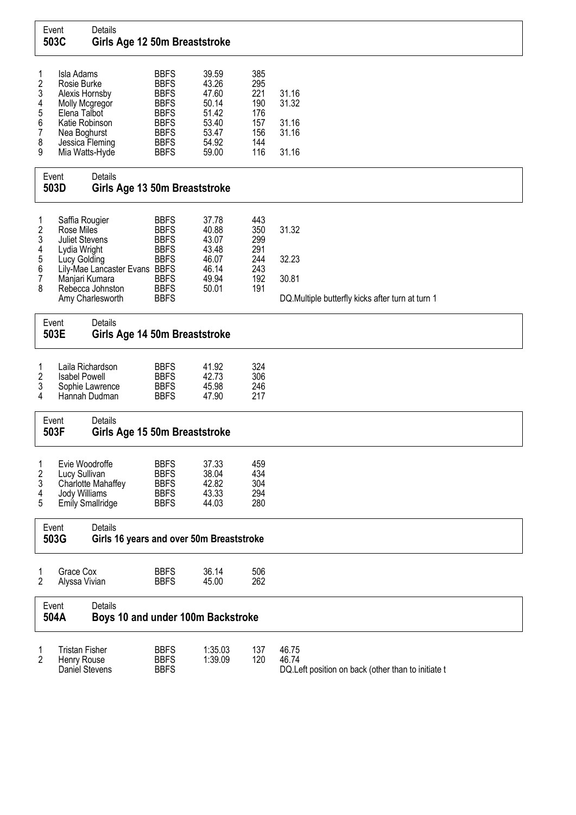|                                           | Event<br>503C                                                                                                                     | Details<br>Girls Age 12 50m Breaststroke                                                             |                                                                                                                                     |                                                                               |                                                             |                                                                             |
|-------------------------------------------|-----------------------------------------------------------------------------------------------------------------------------------|------------------------------------------------------------------------------------------------------|-------------------------------------------------------------------------------------------------------------------------------------|-------------------------------------------------------------------------------|-------------------------------------------------------------|-----------------------------------------------------------------------------|
| 1<br>2<br>3<br>4<br>5<br>6<br>7<br>8<br>9 | Isla Adams<br>Rosie Burke<br>Alexis Hornsby<br>Molly Mcgregor<br>Elena Talbot<br>Katie Robinson<br>Nea Boghurst<br>Mia Watts-Hyde | Jessica Fleming                                                                                      | <b>BBFS</b><br><b>BBFS</b><br><b>BBFS</b><br><b>BBFS</b><br><b>BBFS</b><br><b>BBFS</b><br><b>BBFS</b><br><b>BBFS</b><br><b>BBFS</b> | 39.59<br>43.26<br>47.60<br>50.14<br>51.42<br>53.40<br>53.47<br>54.92<br>59.00 | 385<br>295<br>221<br>190<br>176<br>157<br>156<br>144<br>116 | 31.16<br>31.32<br>31.16<br>31.16<br>31.16                                   |
| Event<br>503D                             |                                                                                                                                   | Details<br>Girls Age 13 50m Breaststroke                                                             |                                                                                                                                     |                                                                               |                                                             |                                                                             |
| 1<br>2<br>3<br>4<br>5<br>6<br>7<br>8      | Saffia Rougier<br>Rose Miles<br><b>Juliet Stevens</b><br>Lydia Wright<br>Lucy Golding<br>Manjari Kumara                           | Lily-Mae Lancaster Evans BBFS<br>Rebecca Johnston<br>Amy Charlesworth                                | <b>BBFS</b><br><b>BBFS</b><br><b>BBFS</b><br><b>BBFS</b><br><b>BBFS</b><br><b>BBFS</b><br><b>BBFS</b><br><b>BBFS</b>                | 37.78<br>40.88<br>43.07<br>43.48<br>46.07<br>46.14<br>49.94<br>50.01          | 443<br>350<br>299<br>291<br>244<br>243<br>192<br>191        | 31.32<br>32.23<br>30.81<br>DQ.Multiple butterfly kicks after turn at turn 1 |
|                                           | Event<br>503E                                                                                                                     | Details<br>Girls Age 14 50m Breaststroke                                                             |                                                                                                                                     |                                                                               |                                                             |                                                                             |
| 1<br>2<br>3<br>4                          | <b>Isabel Powell</b>                                                                                                              | Laila Richardson<br>Sophie Lawrence<br>Hannah Dudman                                                 | <b>BBFS</b><br><b>BBFS</b><br><b>BBFS</b><br><b>BBFS</b>                                                                            | 41.92<br>42.73<br>45.98<br>47.90                                              | 324<br>306<br>246<br>217                                    |                                                                             |
|                                           | Event<br>503F                                                                                                                     | Details<br>Girls Age 15 50m Breaststroke                                                             |                                                                                                                                     |                                                                               |                                                             |                                                                             |
| 1<br>2<br>3<br>4<br>5                     | Evie Woodroffe<br>Lucy Sullivan<br><b>Jody Williams</b><br>Event<br>503G                                                          | Charlotte Mahaffey<br>Emily Smallridge<br><b>Details</b><br>Girls 16 years and over 50m Breaststroke | <b>BBFS</b><br><b>BBFS</b><br><b>BBFS</b><br><b>BBFS</b><br><b>BBFS</b>                                                             | 37.33<br>38.04<br>42.82<br>43.33<br>44.03                                     | 459<br>434<br>304<br>294<br>280                             |                                                                             |
| 1<br>2                                    | Grace Cox<br>Alyssa Vivian                                                                                                        |                                                                                                      | <b>BBFS</b><br><b>BBFS</b>                                                                                                          | 36.14<br>45.00                                                                | 506<br>262                                                  |                                                                             |
|                                           | Event<br>504A                                                                                                                     | Details<br>Boys 10 and under 100m Backstroke                                                         |                                                                                                                                     |                                                                               |                                                             |                                                                             |
| 1<br>2                                    | <b>Tristan Fisher</b><br>Henry Rouse<br>Daniel Stevens                                                                            |                                                                                                      | <b>BBFS</b><br><b>BBFS</b><br><b>BBFS</b>                                                                                           | 1:35.03<br>1:39.09                                                            | 137<br>120                                                  | 46.75<br>46.74<br>DQ.Left position on back (other than to initiate t        |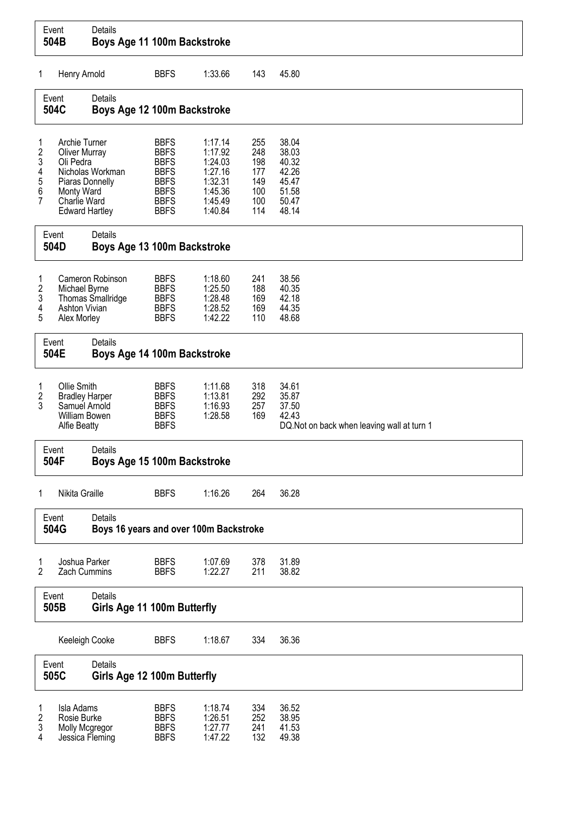| Event<br>504B                   |                                                                                                                              | Details<br>Boys Age 11 100m Backstroke            |                                                                                                                      |                                                                                      |                                                      |                                                                                 |
|---------------------------------|------------------------------------------------------------------------------------------------------------------------------|---------------------------------------------------|----------------------------------------------------------------------------------------------------------------------|--------------------------------------------------------------------------------------|------------------------------------------------------|---------------------------------------------------------------------------------|
| 1                               | Henry Arnold                                                                                                                 |                                                   | <b>BBFS</b>                                                                                                          | 1:33.66                                                                              | 143                                                  | 45.80                                                                           |
|                                 | Event<br>504C                                                                                                                | Details<br>Boys Age 12 100m Backstroke            |                                                                                                                      |                                                                                      |                                                      |                                                                                 |
| 1<br>2<br>3<br>4<br>5<br>6<br>7 | Archie Turner<br><b>Oliver Murray</b><br>Oli Pedra<br>Piaras Donnelly<br>Monty Ward<br>Charlie Ward<br><b>Edward Hartley</b> | Nicholas Workman                                  | <b>BBFS</b><br><b>BBFS</b><br><b>BBFS</b><br><b>BBFS</b><br><b>BBFS</b><br><b>BBFS</b><br><b>BBFS</b><br><b>BBFS</b> | 1:17.14<br>1:17.92<br>1:24.03<br>1:27.16<br>1:32.31<br>1:45.36<br>1:45.49<br>1:40.84 | 255<br>248<br>198<br>177<br>149<br>100<br>100<br>114 | 38.04<br>38.03<br>40.32<br>42.26<br>45.47<br>51.58<br>50.47<br>48.14            |
|                                 | Event<br>504D                                                                                                                | Details<br>Boys Age 13 100m Backstroke            |                                                                                                                      |                                                                                      |                                                      |                                                                                 |
| 1<br>2<br>3<br>4<br>5           | Michael Byrne<br><b>Ashton Vivian</b><br>Alex Morley                                                                         | Cameron Robinson<br>Thomas Smallridge             | <b>BBFS</b><br><b>BBFS</b><br><b>BBFS</b><br><b>BBFS</b><br><b>BBFS</b>                                              | 1:18.60<br>1:25.50<br>1:28.48<br>1:28.52<br>1:42.22                                  | 241<br>188<br>169<br>169<br>110                      | 38.56<br>40.35<br>42.18<br>44.35<br>48.68                                       |
|                                 | Event<br>504E                                                                                                                | Details<br>Boys Age 14 100m Backstroke            |                                                                                                                      |                                                                                      |                                                      |                                                                                 |
| 1<br>2<br>3                     | Ollie Smith<br><b>Bradley Harper</b><br>Samuel Arnold<br><b>William Bowen</b><br><b>Alfie Beatty</b>                         |                                                   | <b>BBFS</b><br><b>BBFS</b><br><b>BBFS</b><br><b>BBFS</b><br><b>BBFS</b>                                              | 1:11.68<br>1:13.81<br>1:16.93<br>1:28.58                                             | 318<br>292<br>257<br>169                             | 34.61<br>35.87<br>37.50<br>42.43<br>DQ. Not on back when leaving wall at turn 1 |
|                                 | Event<br>504F                                                                                                                | Details<br>Boys Age 15 100m Backstroke            |                                                                                                                      |                                                                                      |                                                      |                                                                                 |
| 1                               | Nikita Graille                                                                                                               |                                                   | <b>BBFS</b>                                                                                                          | 1:16.26                                                                              | 264                                                  | 36.28                                                                           |
|                                 | Event<br>504G                                                                                                                | Details<br>Boys 16 years and over 100m Backstroke |                                                                                                                      |                                                                                      |                                                      |                                                                                 |
| 1<br>2                          | Joshua Parker<br>Zach Cummins                                                                                                |                                                   | <b>BBFS</b><br><b>BBFS</b>                                                                                           | 1:07.69<br>1:22.27                                                                   | 378<br>211                                           | 31.89<br>38.82                                                                  |
| Event<br>505B                   |                                                                                                                              | Details<br>Girls Age 11 100m Butterfly            |                                                                                                                      |                                                                                      |                                                      |                                                                                 |
|                                 | Keeleigh Cooke                                                                                                               |                                                   | <b>BBFS</b>                                                                                                          | 1:18.67                                                                              | 334                                                  | 36.36                                                                           |
| Event<br>505C                   |                                                                                                                              | Details<br>Girls Age 12 100m Butterfly            |                                                                                                                      |                                                                                      |                                                      |                                                                                 |
| 1<br>$\overline{c}$<br>3<br>4   | Isla Adams<br>Rosie Burke<br>Molly Mcgregor<br>Jessica Fleming                                                               |                                                   | <b>BBFS</b><br><b>BBFS</b><br><b>BBFS</b><br><b>BBFS</b>                                                             | 1:18.74<br>1:26.51<br>1:27.77<br>1:47.22                                             | 334<br>252<br>241<br>132                             | 36.52<br>38.95<br>41.53<br>49.38                                                |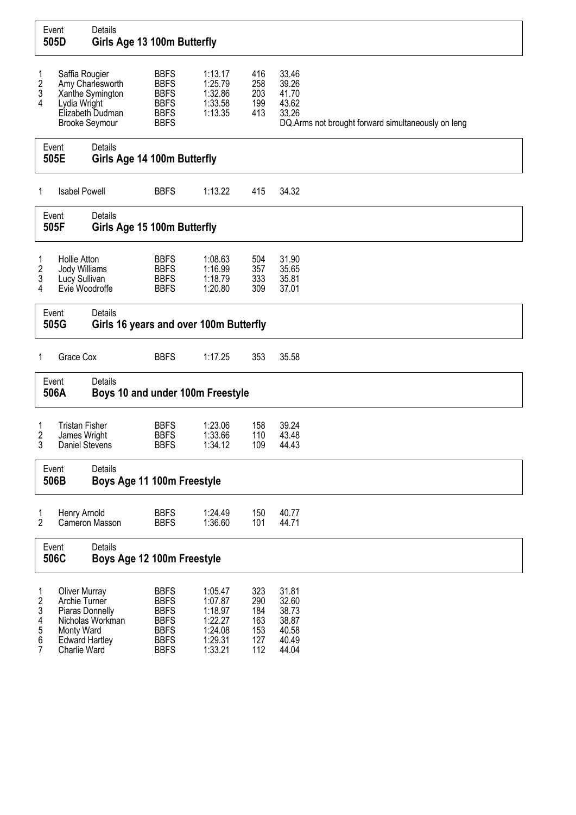|                                                                                             | Event<br>505D                                                                                                   | Details<br>Girls Age 13 100m Butterfly                   |                                                                                                       |                                                                           |                                               |                                                                                                 |
|---------------------------------------------------------------------------------------------|-----------------------------------------------------------------------------------------------------------------|----------------------------------------------------------|-------------------------------------------------------------------------------------------------------|---------------------------------------------------------------------------|-----------------------------------------------|-------------------------------------------------------------------------------------------------|
| 1<br>$\frac{2}{3}$<br>4                                                                     | Saffia Rougier<br>Lydia Wright<br><b>Brooke Seymour</b>                                                         | Amy Charlesworth<br>Xanthe Symington<br>Elizabeth Dudman | <b>BBFS</b><br><b>BBFS</b><br><b>BBFS</b><br><b>BBFS</b><br><b>BBFS</b><br><b>BBFS</b>                | 1:13.17<br>1:25.79<br>1:32.86<br>1:33.58<br>1:13.35                       | 416<br>258<br>203<br>199<br>413               | 33.46<br>39.26<br>41.70<br>43.62<br>33.26<br>DQ.Arms not brought forward simultaneously on leng |
| Event<br>505E                                                                               |                                                                                                                 | Details<br>Girls Age 14 100m Butterfly                   |                                                                                                       |                                                                           |                                               |                                                                                                 |
| 1                                                                                           | <b>Isabel Powell</b>                                                                                            |                                                          | <b>BBFS</b>                                                                                           | 1:13.22                                                                   | 415                                           | 34.32                                                                                           |
|                                                                                             | Event<br>505F                                                                                                   | Details<br>Girls Age 15 100m Butterfly                   |                                                                                                       |                                                                           |                                               |                                                                                                 |
| <b>Hollie Atton</b><br>1<br>2<br>Jody Williams<br>3<br>Lucy Sullivan<br>4<br>Evie Woodroffe |                                                                                                                 |                                                          | <b>BBFS</b><br><b>BBFS</b><br><b>BBFS</b><br><b>BBFS</b>                                              | 1:08.63<br>1:16.99<br>1:18.79<br>1:20.80                                  | 504<br>357<br>333<br>309                      | 31.90<br>35.65<br>35.81<br>37.01                                                                |
|                                                                                             | Event<br>505G                                                                                                   | Details<br>Girls 16 years and over 100m Butterfly        |                                                                                                       |                                                                           |                                               |                                                                                                 |
| 1                                                                                           | Grace Cox                                                                                                       |                                                          | <b>BBFS</b>                                                                                           | 1:17.25                                                                   | 353                                           | 35.58                                                                                           |
|                                                                                             | Event<br>506A                                                                                                   | Details<br>Boys 10 and under 100m Freestyle              |                                                                                                       |                                                                           |                                               |                                                                                                 |
| 1<br>2<br>3                                                                                 | <b>Tristan Fisher</b><br>James Wright<br>Daniel Stevens                                                         |                                                          | <b>BBFS</b><br><b>BBFS</b><br><b>BBFS</b>                                                             | 1:23.06<br>1:33.66<br>1:34.12                                             | 158<br>110<br>109                             | 39.24<br>43.48<br>44.43                                                                         |
|                                                                                             | Event<br>506B                                                                                                   | Details<br>Boys Age 11 100m Freestyle                    |                                                                                                       |                                                                           |                                               |                                                                                                 |
| 1<br>$\overline{2}$                                                                         | Henry Arnold                                                                                                    | Cameron Masson                                           | <b>BBFS</b><br><b>BBFS</b>                                                                            | 1:24.49<br>1:36.60                                                        | 150<br>101                                    | 40.77<br>44.71                                                                                  |
| Event<br>506C                                                                               |                                                                                                                 | Details<br>Boys Age 12 100m Freestyle                    |                                                                                                       |                                                                           |                                               |                                                                                                 |
| 1<br>$\sqrt{2}$<br>3<br>4<br>5<br>6<br>7                                                    | <b>Oliver Murray</b><br>Archie Turner<br>Piaras Donnelly<br>Monty Ward<br><b>Edward Hartley</b><br>Charlie Ward | Nicholas Workman                                         | <b>BBFS</b><br><b>BBFS</b><br><b>BBFS</b><br><b>BBFS</b><br><b>BBFS</b><br><b>BBFS</b><br><b>BBFS</b> | 1:05.47<br>1:07.87<br>1:18.97<br>1:22.27<br>1:24.08<br>1:29.31<br>1:33.21 | 323<br>290<br>184<br>163<br>153<br>127<br>112 | 31.81<br>32.60<br>38.73<br>38.87<br>40.58<br>40.49<br>44.04                                     |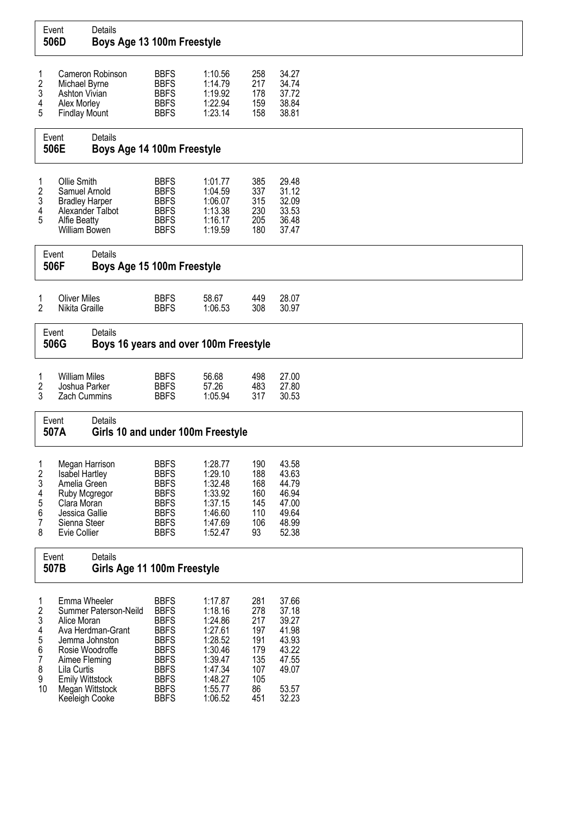|                                                                       | Event<br>506D                                                                                                                      | Details<br>Boys Age 13 100m Freestyle                                                              |                                                                                                                                                                   |                                                                                                                       |                                                                          |                                                                                        |  |
|-----------------------------------------------------------------------|------------------------------------------------------------------------------------------------------------------------------------|----------------------------------------------------------------------------------------------------|-------------------------------------------------------------------------------------------------------------------------------------------------------------------|-----------------------------------------------------------------------------------------------------------------------|--------------------------------------------------------------------------|----------------------------------------------------------------------------------------|--|
| 1<br>2<br>3<br>4<br>5                                                 | Michael Byrne<br>Ashton Vivian<br>Alex Morley<br><b>Findlay Mount</b>                                                              | Cameron Robinson                                                                                   | <b>BBFS</b><br><b>BBFS</b><br><b>BBFS</b><br><b>BBFS</b><br><b>BBFS</b>                                                                                           | 1:10.56<br>1:14.79<br>1:19.92<br>1:22.94<br>1:23.14                                                                   | 258<br>217<br>178<br>159<br>158                                          | 34.27<br>34.74<br>37.72<br>38.84<br>38.81                                              |  |
|                                                                       | Event<br>506E                                                                                                                      | <b>Details</b><br>Boys Age 14 100m Freestyle                                                       |                                                                                                                                                                   |                                                                                                                       |                                                                          |                                                                                        |  |
| 1<br>2<br>3<br>4<br>5                                                 | Ollie Smith<br>Samuel Arnold<br><b>Bradley Harper</b><br><b>Alfie Beatty</b><br>William Bowen                                      | Alexander Talbot                                                                                   | <b>BBFS</b><br><b>BBFS</b><br><b>BBFS</b><br><b>BBFS</b><br><b>BBFS</b><br><b>BBFS</b>                                                                            | 1:01.77<br>1:04.59<br>1:06.07<br>1:13.38<br>1:16.17<br>1:19.59                                                        | 385<br>337<br>315<br>230<br>205<br>180                                   | 29.48<br>31.12<br>32.09<br>33.53<br>36.48<br>37.47                                     |  |
|                                                                       | Event<br>506F                                                                                                                      | Details<br>Boys Age 15 100m Freestyle                                                              |                                                                                                                                                                   |                                                                                                                       |                                                                          |                                                                                        |  |
| 1<br>2                                                                | <b>Oliver Miles</b><br>Nikita Graille                                                                                              |                                                                                                    | <b>BBFS</b><br><b>BBFS</b>                                                                                                                                        | 58.67<br>1:06.53                                                                                                      | 449<br>308                                                               | 28.07<br>30.97                                                                         |  |
|                                                                       | Event<br>506G                                                                                                                      | Details<br>Boys 16 years and over 100m Freestyle                                                   |                                                                                                                                                                   |                                                                                                                       |                                                                          |                                                                                        |  |
| 1<br>2<br>3                                                           | <b>William Miles</b><br>Joshua Parker<br><b>Zach Cummins</b>                                                                       |                                                                                                    | <b>BBFS</b><br><b>BBFS</b><br><b>BBFS</b>                                                                                                                         | 56.68<br>57.26<br>1:05.94                                                                                             | 498<br>483<br>317                                                        | 27.00<br>27.80<br>30.53                                                                |  |
|                                                                       | Event<br>507A                                                                                                                      | Details<br>Girls 10 and under 100m Freestyle                                                       |                                                                                                                                                                   |                                                                                                                       |                                                                          |                                                                                        |  |
| 1<br>2<br>3<br>4<br>5<br>6<br>7<br>8                                  | Megan Harrison<br>Isabel Hartley<br>Amelia Green<br>Ruby Mcgregor<br>Clara Moran<br>Jessica Gallie<br>Sienna Steer<br>Evie Collier |                                                                                                    | <b>BBFS</b><br><b>BBFS</b><br><b>BBFS</b><br><b>BBFS</b><br><b>BBFS</b><br><b>BBFS</b><br><b>BBFS</b><br><b>BBFS</b>                                              | 1:28.77<br>1:29.10<br>1:32.48<br>1:33.92<br>1:37.15<br>1:46.60<br>1:47.69<br>1:52.47                                  | 190<br>188<br>168<br>160<br>145<br>110<br>106<br>93                      | 43.58<br>43.63<br>44.79<br>46.94<br>47.00<br>49.64<br>48.99<br>52.38                   |  |
|                                                                       | Event<br>507B                                                                                                                      | Details<br>Girls Age 11 100m Freestyle                                                             |                                                                                                                                                                   |                                                                                                                       |                                                                          |                                                                                        |  |
| 1<br>$\overline{\mathbf{c}}$<br>3<br>4<br>5<br>6<br>7<br>8<br>9<br>10 | Emma Wheeler<br>Alice Moran<br>Aimee Fleming<br>Lila Curtis<br><b>Emily Wittstock</b><br>Keeleigh Cooke                            | Summer Paterson-Neild<br>Ava Herdman-Grant<br>Jemma Johnston<br>Rosie Woodroffe<br>Megan Wittstock | <b>BBFS</b><br><b>BBFS</b><br><b>BBFS</b><br><b>BBFS</b><br><b>BBFS</b><br><b>BBFS</b><br><b>BBFS</b><br><b>BBFS</b><br><b>BBFS</b><br><b>BBFS</b><br><b>BBFS</b> | 1:17.87<br>1:18.16<br>1:24.86<br>1:27.61<br>1:28.52<br>1:30.46<br>1:39.47<br>1:47.34<br>1:48.27<br>1:55.77<br>1:06.52 | 281<br>278<br>217<br>197<br>191<br>179<br>135<br>107<br>105<br>86<br>451 | 37.66<br>37.18<br>39.27<br>41.98<br>43.93<br>43.22<br>47.55<br>49.07<br>53.57<br>32.23 |  |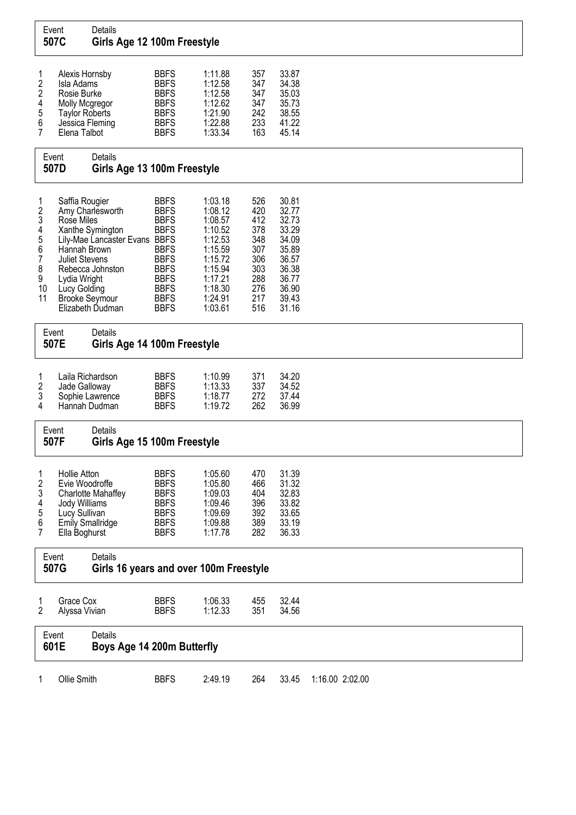| Event<br>507C                                         |                                                                                                                           | Details<br>Girls Age 12 100m Freestyle                                                                                                 |                                                                                                                                                                   |                                                                                                                                  |                                                                                  |                                                                                                          |                 |
|-------------------------------------------------------|---------------------------------------------------------------------------------------------------------------------------|----------------------------------------------------------------------------------------------------------------------------------------|-------------------------------------------------------------------------------------------------------------------------------------------------------------------|----------------------------------------------------------------------------------------------------------------------------------|----------------------------------------------------------------------------------|----------------------------------------------------------------------------------------------------------|-----------------|
| 1<br>2<br>2<br>4<br>5<br>6<br>7                       | Alexis Hornsby<br>Isla Adams<br>Rosie Burke<br>Molly Mcgregor<br><b>Taylor Roberts</b><br>Jessica Fleming<br>Elena Talbot |                                                                                                                                        | <b>BBFS</b><br><b>BBFS</b><br><b>BBFS</b><br><b>BBFS</b><br><b>BBFS</b><br><b>BBFS</b><br><b>BBFS</b>                                                             | 1:11.88<br>1:12.58<br>1:12.58<br>1:12.62<br>1:21.90<br>1:22.88<br>1:33.34                                                        | 357<br>347<br>347<br>347<br>242<br>233<br>163                                    | 33.87<br>34.38<br>35.03<br>35.73<br>38.55<br>41.22<br>45.14                                              |                 |
| Event<br>507D                                         |                                                                                                                           | Details<br>Girls Age 13 100m Freestyle                                                                                                 |                                                                                                                                                                   |                                                                                                                                  |                                                                                  |                                                                                                          |                 |
| 1<br>2<br>3<br>4<br>5<br>6<br>7<br>8<br>9<br>10<br>11 | Saffia Rougier<br>Rose Miles<br>Hannah Brown<br><b>Juliet Stevens</b><br>Lydia Wright<br>Lucy Golding                     | Amy Charlesworth<br>Xanthe Symington<br>Lily-Mae Lancaster Evans BBFS<br>Rebecca Johnston<br><b>Brooke Seymour</b><br>Elizabeth Dudman | <b>BBFS</b><br><b>BBFS</b><br><b>BBFS</b><br><b>BBFS</b><br><b>BBFS</b><br><b>BBFS</b><br><b>BBFS</b><br><b>BBFS</b><br><b>BBFS</b><br><b>BBFS</b><br><b>BBFS</b> | 1:03.18<br>1:08.12<br>1:08.57<br>1:10.52<br>1:12.53<br>1:15.59<br>1:15.72<br>1:15.94<br>1:17.21<br>1:18.30<br>1:24.91<br>1:03.61 | 526<br>420<br>412<br>378<br>348<br>307<br>306<br>303<br>288<br>276<br>217<br>516 | 30.81<br>32.77<br>32.73<br>33.29<br>34.09<br>35.89<br>36.57<br>36.38<br>36.77<br>36.90<br>39.43<br>31.16 |                 |
|                                                       | Event<br>507E                                                                                                             | Details<br>Girls Age 14 100m Freestyle                                                                                                 |                                                                                                                                                                   |                                                                                                                                  |                                                                                  |                                                                                                          |                 |
| 1<br>2<br>3<br>4                                      | Jade Galloway                                                                                                             | Laila Richardson<br>Sophie Lawrence<br>Hannah Dudman                                                                                   | <b>BBFS</b><br><b>BBFS</b><br><b>BBFS</b><br><b>BBFS</b>                                                                                                          | 1:10.99<br>1:13.33<br>1:18.77<br>1:19.72                                                                                         | 371<br>337<br>272<br>262                                                         | 34.20<br>34.52<br>37.44<br>36.99                                                                         |                 |
|                                                       | Event<br>507F                                                                                                             | Details<br>Girls Age 15 100m Freestyle                                                                                                 |                                                                                                                                                                   |                                                                                                                                  |                                                                                  |                                                                                                          |                 |
| 1<br>2<br>3<br>4<br>5<br>6<br>7                       | <b>Hollie Atton</b><br>Evie Woodroffe<br>Jody Williams<br>Lucy Sullivan<br>Ella Boghurst                                  | Charlotte Mahaffey<br>Emily Smallridge                                                                                                 | <b>BBFS</b><br><b>BBFS</b><br><b>BBFS</b><br><b>BBFS</b><br><b>BBFS</b><br><b>BBFS</b><br><b>BBFS</b>                                                             | 1:05.60<br>1:05.80<br>1:09.03<br>1:09.46<br>1:09.69<br>1:09.88<br>1:17.78                                                        | 470<br>466<br>404<br>396<br>392<br>389<br>282                                    | 31.39<br>31.32<br>32.83<br>33.82<br>33.65<br>33.19<br>36.33                                              |                 |
|                                                       | Event<br>507G                                                                                                             | Details<br>Girls 16 years and over 100m Freestyle                                                                                      |                                                                                                                                                                   |                                                                                                                                  |                                                                                  |                                                                                                          |                 |
| 1<br>2                                                | Grace Cox<br>Alyssa Vivian                                                                                                |                                                                                                                                        | <b>BBFS</b><br><b>BBFS</b>                                                                                                                                        | 1:06.33<br>1:12.33                                                                                                               | 455<br>351                                                                       | 32.44<br>34.56                                                                                           |                 |
| Event<br>601E                                         |                                                                                                                           | Details<br>Boys Age 14 200m Butterfly                                                                                                  |                                                                                                                                                                   |                                                                                                                                  |                                                                                  |                                                                                                          |                 |
| 1                                                     | Ollie Smith                                                                                                               |                                                                                                                                        | <b>BBFS</b>                                                                                                                                                       | 2:49.19                                                                                                                          | 264                                                                              | 33.45                                                                                                    | 1:16.00 2:02.00 |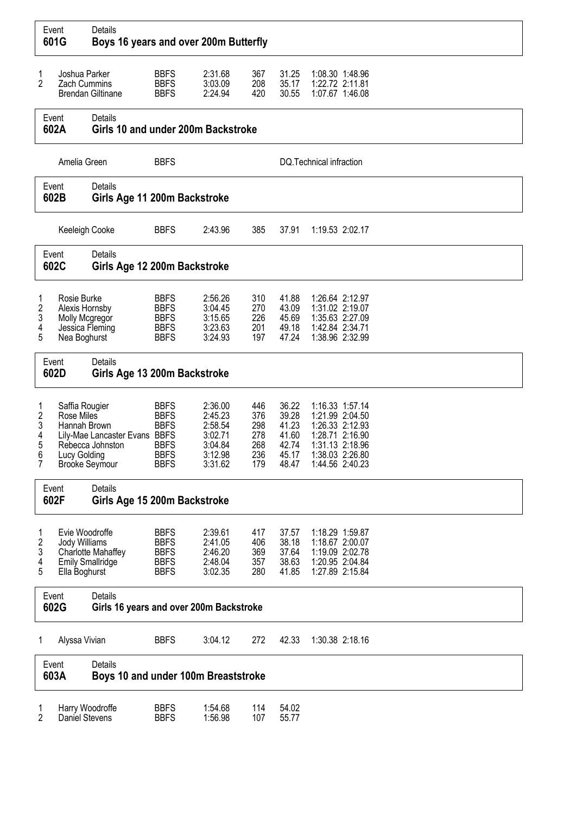| Event<br>601G                                                                                               |                                                                                       | Details                                            |                                                                                        |                                                                           |                                               |                                                             |  | Boys 16 years and over 200m Butterfly                                                                                             |  |  |  |  |  |  |  |  |  |  |
|-------------------------------------------------------------------------------------------------------------|---------------------------------------------------------------------------------------|----------------------------------------------------|----------------------------------------------------------------------------------------|---------------------------------------------------------------------------|-----------------------------------------------|-------------------------------------------------------------|--|-----------------------------------------------------------------------------------------------------------------------------------|--|--|--|--|--|--|--|--|--|--|
| 1<br>$\overline{2}$                                                                                         | Joshua Parker<br>Zach Cummins                                                         | <b>Brendan Giltinane</b>                           | <b>BBFS</b><br><b>BBFS</b><br><b>BBFS</b>                                              | 2:31.68<br>3:03.09<br>2:24.94                                             | 367<br>208<br>420                             | 31.25<br>35.17<br>30.55                                     |  | 1:08.30 1:48.96<br>1:22.72 2:11.81<br>1:07.67 1:46.08                                                                             |  |  |  |  |  |  |  |  |  |  |
|                                                                                                             | Event<br>602A                                                                         | Details<br>Girls 10 and under 200m Backstroke      |                                                                                        |                                                                           |                                               |                                                             |  |                                                                                                                                   |  |  |  |  |  |  |  |  |  |  |
|                                                                                                             | Amelia Green                                                                          |                                                    | <b>BBFS</b>                                                                            |                                                                           |                                               | DQ. Technical infraction                                    |  |                                                                                                                                   |  |  |  |  |  |  |  |  |  |  |
| Event<br>602B                                                                                               |                                                                                       | Details<br>Girls Age 11 200m Backstroke            |                                                                                        |                                                                           |                                               |                                                             |  |                                                                                                                                   |  |  |  |  |  |  |  |  |  |  |
| Keeleigh Cooke                                                                                              |                                                                                       |                                                    | <b>BBFS</b>                                                                            | 2:43.96                                                                   | 385                                           | 37.91                                                       |  | 1:19.53 2:02.17                                                                                                                   |  |  |  |  |  |  |  |  |  |  |
| Event<br>602C                                                                                               |                                                                                       | <b>Details</b><br>Girls Age 12 200m Backstroke     |                                                                                        |                                                                           |                                               |                                                             |  |                                                                                                                                   |  |  |  |  |  |  |  |  |  |  |
| Rosie Burke<br>1<br>2<br>Alexis Hornsby<br>3<br>Molly Mcgregor<br>Jessica Fleming<br>4<br>5<br>Nea Boghurst |                                                                                       |                                                    | <b>BBFS</b><br><b>BBFS</b><br><b>BBFS</b><br><b>BBFS</b><br><b>BBFS</b>                | 2:56.26<br>3:04.45<br>3:15.65<br>3:23.63<br>3:24.93                       | 310<br>270<br>226<br>201<br>197               | 41.88<br>43.09<br>45.69<br>49.18<br>47.24                   |  | 1:26.64 2:12.97<br>1:31.02 2:19.07<br>1:35.63 2:27.09<br>1:42.84 2:34.71<br>1:38.96 2:32.99                                       |  |  |  |  |  |  |  |  |  |  |
|                                                                                                             | Event<br>602D                                                                         | <b>Details</b><br>Girls Age 13 200m Backstroke     |                                                                                        |                                                                           |                                               |                                                             |  |                                                                                                                                   |  |  |  |  |  |  |  |  |  |  |
| 1<br>$\overline{\mathbf{c}}$<br>3<br>4<br>5<br>6<br>$\overline{7}$                                          | Saffia Rougier<br>Rose Miles<br>Hannah Brown<br>Lucy Golding<br><b>Brooke Seymour</b> | Lily-Mae Lancaster Evans BBFS<br>Rebecca Johnston  | <b>BBFS</b><br><b>BBFS</b><br><b>BBFS</b><br><b>BBFS</b><br><b>BBFS</b><br><b>BBFS</b> | 2:36.00<br>2:45.23<br>2:58.54<br>3:02.71<br>3:04.84<br>3:12.98<br>3:31.62 | 446<br>376<br>298<br>278<br>268<br>236<br>179 | 36.22<br>39.28<br>41.23<br>41.60<br>42.74<br>45.17<br>48.47 |  | 1:16.33 1:57.14<br>1:21.99 2:04.50<br>1:26.33 2:12.93<br>1:28.71 2:16.90<br>1:31.13 2:18.96<br>1:38.03 2:26.80<br>1:44.56 2:40.23 |  |  |  |  |  |  |  |  |  |  |
|                                                                                                             | Event<br>602F                                                                         | <b>Details</b><br>Girls Age 15 200m Backstroke     |                                                                                        |                                                                           |                                               |                                                             |  |                                                                                                                                   |  |  |  |  |  |  |  |  |  |  |
| 1<br>$\overline{\mathbf{c}}$<br>3<br>4<br>5                                                                 | Evie Woodroffe<br>Jody Williams<br><b>Emily Smallridge</b><br>Ella Boghurst           | <b>Charlotte Mahaffey</b>                          | <b>BBFS</b><br><b>BBFS</b><br><b>BBFS</b><br><b>BBFS</b><br><b>BBFS</b>                | 2:39.61<br>2:41.05<br>2:46.20<br>2:48.04<br>3:02.35                       | 417<br>406<br>369<br>357<br>280               | 37.57<br>38.18<br>37.64<br>38.63<br>41.85                   |  | 1:18.29 1:59.87<br>1:18.67 2:00.07<br>1:19.09 2:02.78<br>1:20.95 2:04.84<br>1:27.89 2:15.84                                       |  |  |  |  |  |  |  |  |  |  |
| Event<br>602G                                                                                               |                                                                                       | Details<br>Girls 16 years and over 200m Backstroke |                                                                                        |                                                                           |                                               |                                                             |  |                                                                                                                                   |  |  |  |  |  |  |  |  |  |  |
| 1                                                                                                           | Alyssa Vivian                                                                         |                                                    | <b>BBFS</b>                                                                            | 3:04.12                                                                   | 272                                           | 42.33                                                       |  | 1:30.38 2:18.16                                                                                                                   |  |  |  |  |  |  |  |  |  |  |
|                                                                                                             | Event<br>603A                                                                         | Details<br>Boys 10 and under 100m Breaststroke     |                                                                                        |                                                                           |                                               |                                                             |  |                                                                                                                                   |  |  |  |  |  |  |  |  |  |  |
| 1<br>Daniel Stevens<br>2                                                                                    |                                                                                       | Harry Woodroffe                                    | <b>BBFS</b><br><b>BBFS</b>                                                             | 1:54.68<br>1:56.98                                                        | 114<br>107                                    | 54.02<br>55.77                                              |  |                                                                                                                                   |  |  |  |  |  |  |  |  |  |  |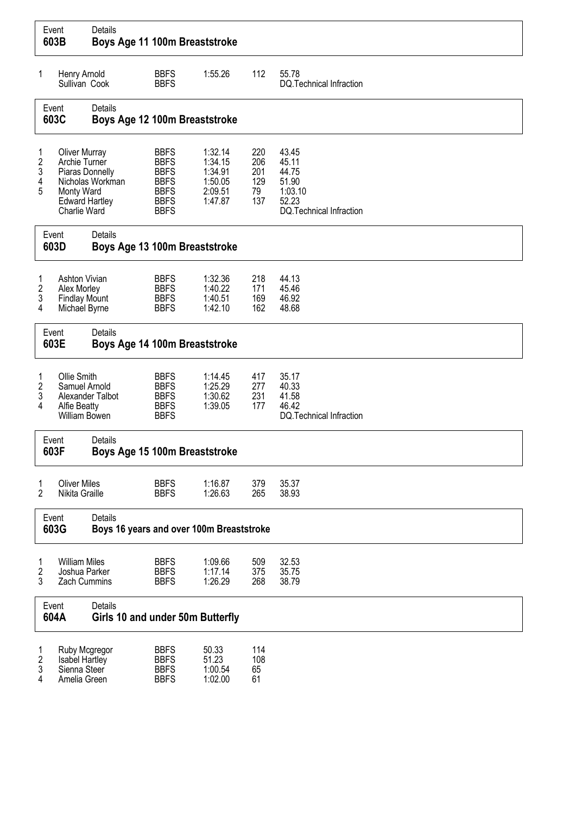|                                                                                     | Event<br>603B                                                                                                   | Details                                                    | Boys Age 11 100m Breaststroke                                                                         |                                                                |                          |                                                                                  |  |  |  |  |  |  |
|-------------------------------------------------------------------------------------|-----------------------------------------------------------------------------------------------------------------|------------------------------------------------------------|-------------------------------------------------------------------------------------------------------|----------------------------------------------------------------|--------------------------|----------------------------------------------------------------------------------|--|--|--|--|--|--|
| 1                                                                                   | Henry Arnold<br>Sullivan Cook                                                                                   |                                                            | <b>BBFS</b><br><b>BBFS</b>                                                                            | 1:55.26                                                        | 112                      | 55.78<br>DQ.Technical Infraction                                                 |  |  |  |  |  |  |
|                                                                                     | Event<br>603C                                                                                                   | Details<br>Boys Age 12 100m Breaststroke                   |                                                                                                       |                                                                |                          |                                                                                  |  |  |  |  |  |  |
| 1<br>$\overline{\mathbf{c}}$<br>3<br>4<br>5                                         | <b>Oliver Murray</b><br>Archie Turner<br>Piaras Donnelly<br>Monty Ward<br><b>Edward Hartley</b><br>Charlie Ward | Nicholas Workman                                           | <b>BBFS</b><br><b>BBFS</b><br><b>BBFS</b><br><b>BBFS</b><br><b>BBFS</b><br><b>BBFS</b><br><b>BBFS</b> | 1:32.14<br>1:34.15<br>1:34.91<br>1:50.05<br>2:09.51<br>1:47.87 |                          | 43.45<br>45.11<br>44.75<br>51.90<br>1:03.10<br>52.23<br>DQ. Technical Infraction |  |  |  |  |  |  |
| Event<br>603D                                                                       |                                                                                                                 | Details<br>Boys Age 13 100m Breaststroke                   |                                                                                                       |                                                                |                          |                                                                                  |  |  |  |  |  |  |
| 1<br>$\boldsymbol{2}$<br>3<br>4                                                     | <b>Ashton Vivian</b><br>Alex Morley<br><b>Findlay Mount</b><br>Michael Byrne                                    |                                                            | <b>BBFS</b><br><b>BBFS</b><br><b>BBFS</b><br><b>BBFS</b>                                              | 1:32.36<br>1:40.22<br>1:40.51<br>1:42.10                       | 218<br>171<br>169<br>162 | 44.13<br>45.46<br>46.92<br>48.68                                                 |  |  |  |  |  |  |
|                                                                                     | Event<br>603E                                                                                                   | Details<br>Boys Age 14 100m Breaststroke                   |                                                                                                       |                                                                |                          |                                                                                  |  |  |  |  |  |  |
| 1<br>2<br>3<br>4                                                                    | Ollie Smith<br>Samuel Arnold<br><b>Alfie Beatty</b><br>William Bowen                                            | Alexander Talbot                                           | <b>BBFS</b><br><b>BBFS</b><br><b>BBFS</b><br><b>BBFS</b><br><b>BBFS</b>                               | 1:14.45<br>1:25.29<br>1:30.62<br>1:39.05                       | 417<br>277<br>231<br>177 | 35.17<br>40.33<br>41.58<br>46.42<br>DQ.Technical Infraction                      |  |  |  |  |  |  |
|                                                                                     | Event<br>603F                                                                                                   | <b>Details</b><br>Boys Age 15 100m Breaststroke            |                                                                                                       |                                                                |                          |                                                                                  |  |  |  |  |  |  |
| 1<br>$\overline{2}$                                                                 | <b>Oliver Miles</b><br>Nikita Graille                                                                           |                                                            | <b>BBFS</b><br><b>BBFS</b>                                                                            | 1:16.87<br>1:26.63                                             | 379<br>265               | 35.37<br>38.93                                                                   |  |  |  |  |  |  |
|                                                                                     | Event<br>603G                                                                                                   | <b>Details</b><br>Boys 16 years and over 100m Breaststroke |                                                                                                       |                                                                |                          |                                                                                  |  |  |  |  |  |  |
| 1<br>2<br>3                                                                         | <b>William Miles</b><br>Joshua Parker<br>Zach Cummins                                                           |                                                            | <b>BBFS</b><br><b>BBFS</b><br><b>BBFS</b>                                                             | 1:09.66<br>1:17.14<br>1:26.29                                  | 509<br>375<br>268        | 32.53<br>35.75<br>38.79                                                          |  |  |  |  |  |  |
|                                                                                     | Event<br>604A                                                                                                   | Details<br>Girls 10 and under 50m Butterfly                |                                                                                                       |                                                                |                          |                                                                                  |  |  |  |  |  |  |
| Ruby Mcgregor<br>1<br>2<br>Isabel Hartley<br>3<br>Sienna Steer<br>4<br>Amelia Green |                                                                                                                 |                                                            | <b>BBFS</b><br><b>BBFS</b><br><b>BBFS</b><br><b>BBFS</b>                                              | 50.33<br>51.23<br>1:00.54<br>1:02.00                           | 114<br>108<br>65<br>61   |                                                                                  |  |  |  |  |  |  |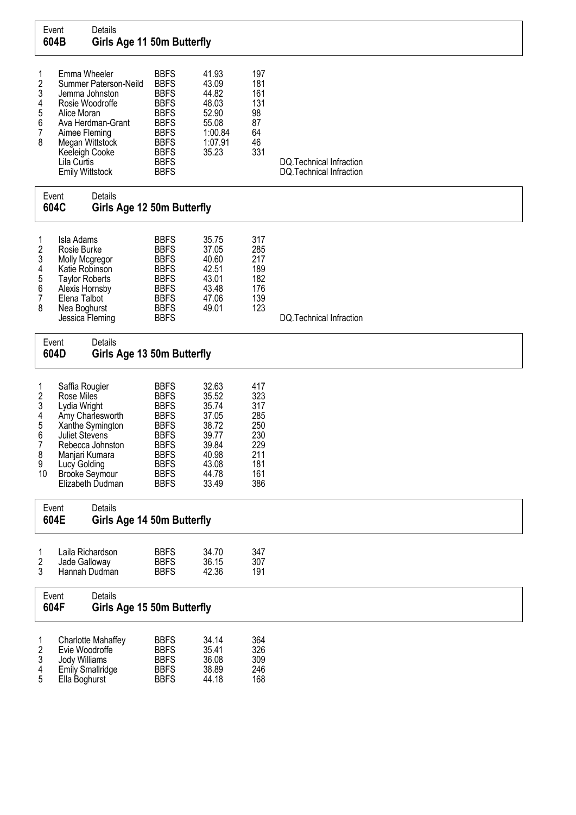|                                                 | Event<br>604B                                                                         | Details<br>Girls Age 11 50m Butterfly                                                                                                                                           |                                                                                                                                                                   |                                                                                                 |                                                                           |                                                     |
|-------------------------------------------------|---------------------------------------------------------------------------------------|---------------------------------------------------------------------------------------------------------------------------------------------------------------------------------|-------------------------------------------------------------------------------------------------------------------------------------------------------------------|-------------------------------------------------------------------------------------------------|---------------------------------------------------------------------------|-----------------------------------------------------|
| 1<br>2<br>3<br>4<br>5<br>6<br>7<br>8            | Alice Moran<br>Lila Curtis                                                            | Emma Wheeler<br>Summer Paterson-Neild<br>Jemma Johnston<br>Rosie Woodroffe<br>Ava Herdman-Grant<br>Aimee Fleming<br>Megan Wittstock<br>Keeleigh Cooke<br><b>Emily Wittstock</b> | <b>BBFS</b><br><b>BBFS</b><br><b>BBFS</b><br><b>BBFS</b><br><b>BBFS</b><br><b>BBFS</b><br><b>BBFS</b><br><b>BBFS</b><br><b>BBFS</b><br><b>BBFS</b><br><b>BBFS</b> | 41.93<br>43.09<br>44.82<br>48.03<br>52.90<br>55.08<br>1:00.84<br>1:07.91<br>35.23               | 197<br>181<br>161<br>131<br>98<br>87<br>64<br>46<br>331                   | DQ.Technical Infraction<br>DQ. Technical Infraction |
|                                                 | Event<br>604C                                                                         | Details<br>Girls Age 12 50m Butterfly                                                                                                                                           |                                                                                                                                                                   |                                                                                                 |                                                                           |                                                     |
| 1<br>2<br>3<br>4<br>5<br>6<br>7<br>8            | Isla Adams<br>Rosie Burke<br>Elena Talbot<br>Nea Boghurst                             | Molly Mcgregor<br>Katie Robinson<br><b>Taylor Roberts</b><br>Alexis Hornsby<br>Jessica Fleming                                                                                  | <b>BBFS</b><br><b>BBFS</b><br><b>BBFS</b><br><b>BBFS</b><br><b>BBFS</b><br><b>BBFS</b><br><b>BBFS</b><br><b>BBFS</b><br><b>BBFS</b>                               | 35.75<br>37.05<br>40.60<br>42.51<br>43.01<br>43.48<br>47.06<br>49.01                            | 317<br>285<br>217<br>189<br>182<br>176<br>139<br>123                      | DQ.Technical Infraction                             |
|                                                 | Event<br>604D                                                                         | Details<br>Girls Age 13 50m Butterfly                                                                                                                                           |                                                                                                                                                                   |                                                                                                 |                                                                           |                                                     |
| 1<br>2<br>3<br>4<br>5<br>6<br>7<br>8<br>9<br>10 | Saffia Rougier<br>Rose Miles<br>Lydia Wright<br><b>Juliet Stevens</b><br>Lucy Golding | Amy Charlesworth<br>Xanthe Symington<br>Rebecca Johnston<br>Manjari Kumara<br><b>Brooke Seymour</b><br>Elizabeth Dudman                                                         | <b>BBFS</b><br><b>BBFS</b><br><b>BBFS</b><br><b>BBFS</b><br><b>BBFS</b><br><b>BBFS</b><br><b>BBFS</b><br><b>BBFS</b><br><b>BBFS</b><br><b>BBFS</b><br><b>BBFS</b> | 32.63<br>35.52<br>35.74<br>37.05<br>38.72<br>39.77<br>39.84<br>40.98<br>43.08<br>44.78<br>33.49 | 417<br>323<br>317<br>285<br>250<br>230<br>229<br>211<br>181<br>161<br>386 |                                                     |
|                                                 | Event<br>604E                                                                         | Details<br>Girls Age 14 50m Butterfly                                                                                                                                           |                                                                                                                                                                   |                                                                                                 |                                                                           |                                                     |
| 1<br>2<br>3                                     |                                                                                       | Laila Richardson<br>Jade Galloway<br>Hannah Dudman                                                                                                                              | <b>BBFS</b><br><b>BBFS</b><br><b>BBFS</b>                                                                                                                         | 34.70<br>36.15<br>42.36                                                                         | 347<br>307<br>191                                                         |                                                     |
|                                                 | Event<br>604F                                                                         | <b>Details</b><br>Girls Age 15 50m Butterfly                                                                                                                                    |                                                                                                                                                                   |                                                                                                 |                                                                           |                                                     |
| 2<br>3<br>4<br>5                                | Jody Williams<br>Ella Boghurst                                                        | <b>Charlotte Mahaffey</b><br>Evie Woodroffe<br><b>Emily Smallridge</b>                                                                                                          | <b>BBFS</b><br><b>BBFS</b><br><b>BBFS</b><br><b>BBFS</b><br><b>BBFS</b>                                                                                           | 34.14<br>35.41<br>36.08<br>38.89<br>44.18                                                       | 364<br>326<br>309<br>246<br>168                                           |                                                     |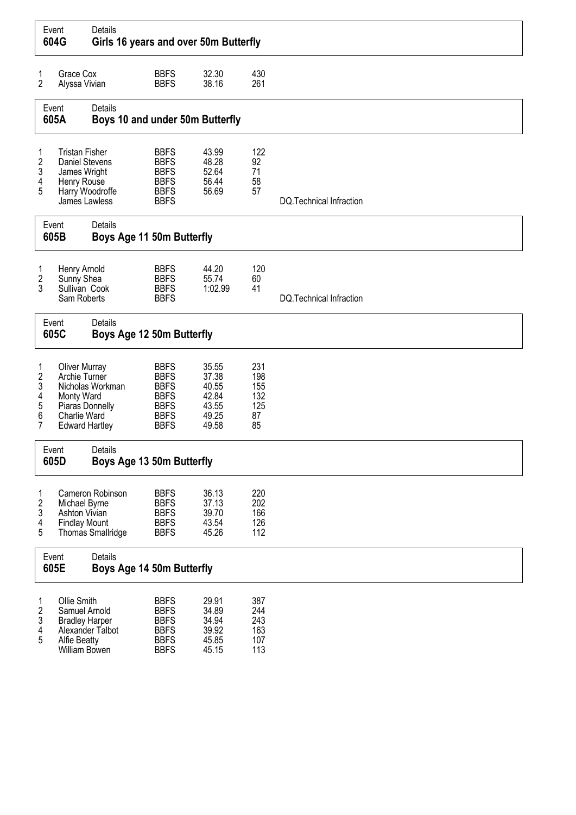|                                                                                                                                     | Event<br>604G                                                                                                   | Details<br>Girls 16 years and over 50m Butterfly |                                                                                                       |                                                             |                                             |                          |
|-------------------------------------------------------------------------------------------------------------------------------------|-----------------------------------------------------------------------------------------------------------------|--------------------------------------------------|-------------------------------------------------------------------------------------------------------|-------------------------------------------------------------|---------------------------------------------|--------------------------|
| 1<br>$\overline{2}$                                                                                                                 | Grace Cox<br>Alyssa Vivian                                                                                      |                                                  | <b>BBFS</b><br><b>BBFS</b>                                                                            | 32.30<br>38.16                                              | 430<br>261                                  |                          |
|                                                                                                                                     | Event<br>605A                                                                                                   | Details<br>Boys 10 and under 50m Butterfly       |                                                                                                       |                                                             |                                             |                          |
| 1<br>2<br>3<br>4<br>5                                                                                                               | <b>Tristan Fisher</b><br><b>Daniel Stevens</b><br>James Wright<br>Henry Rouse<br>James Lawless                  | Harry Woodroffe                                  | <b>BBFS</b><br><b>BBFS</b><br><b>BBFS</b><br><b>BBFS</b><br><b>BBFS</b><br><b>BBFS</b>                | 43.99<br>48.28<br>52.64<br>56.44<br>56.69                   | 122<br>92<br>71<br>58<br>57                 | DQ.Technical Infraction  |
| Event<br>605B                                                                                                                       |                                                                                                                 | Details<br>Boys Age 11 50m Butterfly             |                                                                                                       |                                                             |                                             |                          |
| 1<br>$\overline{\mathbf{c}}$<br>3                                                                                                   | Henry Arnold<br>Sunny Shea<br>Sullivan Cook<br>Sam Roberts                                                      |                                                  | <b>BBFS</b><br><b>BBFS</b><br><b>BBFS</b><br><b>BBFS</b>                                              | 44.20<br>55.74<br>1:02.99                                   | 120<br>60<br>41                             | DQ. Technical Infraction |
|                                                                                                                                     | Event<br>605C                                                                                                   | Details<br>Boys Age 12 50m Butterfly             |                                                                                                       |                                                             |                                             |                          |
| 1<br>$\overline{\mathbf{c}}$<br>3<br>4<br>5<br>6<br>7                                                                               | <b>Oliver Murray</b><br>Archie Turner<br>Monty Ward<br>Piaras Donnelly<br>Charlie Ward<br><b>Edward Hartley</b> | Nicholas Workman                                 | <b>BBFS</b><br><b>BBFS</b><br><b>BBFS</b><br><b>BBFS</b><br><b>BBFS</b><br><b>BBFS</b><br><b>BBFS</b> | 35.55<br>37.38<br>40.55<br>42.84<br>43.55<br>49.25<br>49.58 | 231<br>198<br>155<br>132<br>125<br>87<br>85 |                          |
|                                                                                                                                     | Event<br>605D                                                                                                   | Details<br>Boys Age 13 50m Butterfly             |                                                                                                       |                                                             |                                             |                          |
| 1<br>2<br>3<br>4<br>5                                                                                                               | Michael Byrne<br>Ashton Vivian<br><b>Findlay Mount</b>                                                          | Cameron Robinson<br>Thomas Smallridge            | <b>BBFS</b><br><b>BBFS</b><br><b>BBFS</b><br><b>BBFS</b><br><b>BBFS</b>                               | 36.13<br>37.13<br>39.70<br>43.54<br>45.26                   | 220<br>202<br>166<br>126<br>112             |                          |
|                                                                                                                                     | Event<br>605E                                                                                                   | Details<br>Boys Age 14 50m Butterfly             |                                                                                                       |                                                             |                                             |                          |
| Ollie Smith<br>1<br>$\overline{2}$<br>Samuel Arnold<br>3<br><b>Bradley Harper</b><br>4<br>5<br><b>Alfie Beatty</b><br>William Bowen |                                                                                                                 | Alexander Talbot                                 | <b>BBFS</b><br><b>BBFS</b><br><b>BBFS</b><br><b>BBFS</b><br><b>BBFS</b><br><b>BBFS</b>                | 29.91<br>34.89<br>34.94<br>39.92<br>45.85<br>45.15          | 387<br>244<br>243<br>163<br>107<br>113      |                          |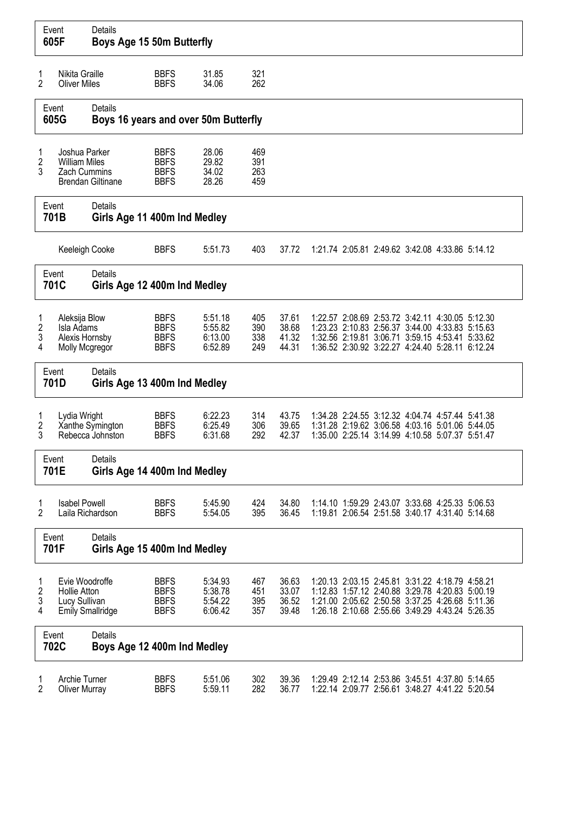|                                                                       | Event<br>605F                                                   | Details<br>Boys Age 15 50m Butterfly            |                                                          |                                          |                          |                                  |  |  |  |  |                                                                                                                                                                                                          |  |
|-----------------------------------------------------------------------|-----------------------------------------------------------------|-------------------------------------------------|----------------------------------------------------------|------------------------------------------|--------------------------|----------------------------------|--|--|--|--|----------------------------------------------------------------------------------------------------------------------------------------------------------------------------------------------------------|--|
| 1<br>2                                                                | Nikita Graille<br><b>Oliver Miles</b>                           |                                                 | <b>BBFS</b><br><b>BBFS</b>                               | 31.85<br>34.06                           | 321<br>262               |                                  |  |  |  |  |                                                                                                                                                                                                          |  |
|                                                                       | Event<br>605G                                                   | Details<br>Boys 16 years and over 50m Butterfly |                                                          |                                          |                          |                                  |  |  |  |  |                                                                                                                                                                                                          |  |
| 1<br>2<br>3                                                           | Joshua Parker<br><b>William Miles</b><br><b>Zach Cummins</b>    | <b>Brendan Giltinane</b>                        | <b>BBFS</b><br><b>BBFS</b><br><b>BBFS</b><br><b>BBFS</b> | 28.06<br>29.82<br>34.02<br>28.26         | 469<br>391<br>263<br>459 |                                  |  |  |  |  |                                                                                                                                                                                                          |  |
| Event<br>701B                                                         |                                                                 | Details<br>Girls Age 11 400m Ind Medley         |                                                          |                                          |                          |                                  |  |  |  |  |                                                                                                                                                                                                          |  |
| Keeleigh Cooke                                                        |                                                                 |                                                 | <b>BBFS</b>                                              | 5:51.73                                  | 403                      | 37.72                            |  |  |  |  | 1:21.74 2:05.81 2:49.62 3:42.08 4:33.86 5:14.12                                                                                                                                                          |  |
| Event<br>701C                                                         |                                                                 | Details<br>Girls Age 12 400m Ind Medley         |                                                          |                                          |                          |                                  |  |  |  |  |                                                                                                                                                                                                          |  |
| 1<br>$\overline{2}$<br>3<br>4                                         | Aleksija Blow<br>Isla Adams<br>Alexis Hornsby<br>Molly Mcgregor |                                                 | <b>BBFS</b><br><b>BBFS</b><br><b>BBFS</b><br><b>BBFS</b> | 5:51.18<br>5:55.82<br>6:13.00<br>6:52.89 | 405<br>390<br>338<br>249 | 37.61<br>38.68<br>41.32<br>44.31 |  |  |  |  | 1:22.57 2:08.69 2:53.72 3:42.11 4:30.05 5:12.30<br>1:23.23 2:10.83 2:56.37 3:44.00 4:33.83 5:15.63<br>1:32.56 2:19.81 3:06.71 3:59.15 4:53.41 5:33.62<br>1:36.52 2:30.92 3:22.27 4:24.40 5:28.11 6:12.24 |  |
|                                                                       | Event<br>701D                                                   | <b>Details</b><br>Girls Age 13 400m Ind Medley  |                                                          |                                          |                          |                                  |  |  |  |  |                                                                                                                                                                                                          |  |
| 1<br>2<br>3                                                           | Lydia Wright                                                    | Xanthe Symington<br>Rebecca Johnston            | <b>BBFS</b><br><b>BBFS</b><br><b>BBFS</b>                | 6:22.23<br>6:25.49<br>6:31.68            | 314<br>306<br>292        | 43.75<br>39.65<br>42.37          |  |  |  |  | 1:34.28 2:24.55 3:12.32 4:04.74 4:57.44 5:41.38<br>1:31.28 2:19.62 3:06.58 4:03.16 5:01.06 5:44.05<br>1:35.00 2:25.14 3:14.99 4:10.58 5:07.37 5:51.47                                                    |  |
|                                                                       | Event<br>701E                                                   | Details<br>Girls Age 14 400m Ind Medley         |                                                          |                                          |                          |                                  |  |  |  |  |                                                                                                                                                                                                          |  |
| 1<br>$\overline{2}$                                                   | <b>Isabel Powell</b><br>Laila Richardson                        |                                                 | <b>BBFS</b><br><b>BBFS</b>                               | 5:45.90<br>5:54.05                       | 424<br>395               | 34.80<br>36.45                   |  |  |  |  | 1:14.10 1:59.29 2:43.07 3:33.68 4:25.33 5:06.53<br>1:19.81 2:06.54 2:51.58 3:40.17 4:31.40 5:14.68                                                                                                       |  |
|                                                                       | Event<br>701F                                                   | Details<br>Girls Age 15 400m Ind Medley         |                                                          |                                          |                          |                                  |  |  |  |  |                                                                                                                                                                                                          |  |
| Evie Woodroffe<br>2<br><b>Hollie Atton</b><br>3<br>Lucy Sullivan<br>4 |                                                                 | <b>Emily Smallridge</b>                         | <b>BBFS</b><br><b>BBFS</b><br><b>BBFS</b><br><b>BBFS</b> | 5:34.93<br>5:38.78<br>5:54.22<br>6:06.42 | 467<br>451<br>395<br>357 | 36.63<br>33.07<br>36.52<br>39.48 |  |  |  |  | 1:20.13 2:03.15 2:45.81 3:31.22 4:18.79 4:58.21<br>1:12.83 1:57.12 2:40.88 3:29.78 4:20.83 5:00.19<br>1:21.00 2:05.62 2:50.58 3:37.25 4:26.68 5:11.36<br>1:26.18 2:10.68 2:55.66 3:49.29 4:43.24 5:26.35 |  |
|                                                                       | Event<br>702C                                                   | Details<br>Boys Age 12 400m Ind Medley          |                                                          |                                          |                          |                                  |  |  |  |  |                                                                                                                                                                                                          |  |
| Archie Turner<br>1<br>2<br><b>Oliver Murray</b>                       |                                                                 |                                                 | <b>BBFS</b><br><b>BBFS</b>                               | 5:51.06<br>5:59.11                       | 302<br>282               | 39.36<br>36.77                   |  |  |  |  | 1:29.49 2:12.14 2:53.86 3:45.51 4:37.80 5:14.65<br>1:22.14 2:09.77 2:56.61 3:48.27 4:41.22 5:20.54                                                                                                       |  |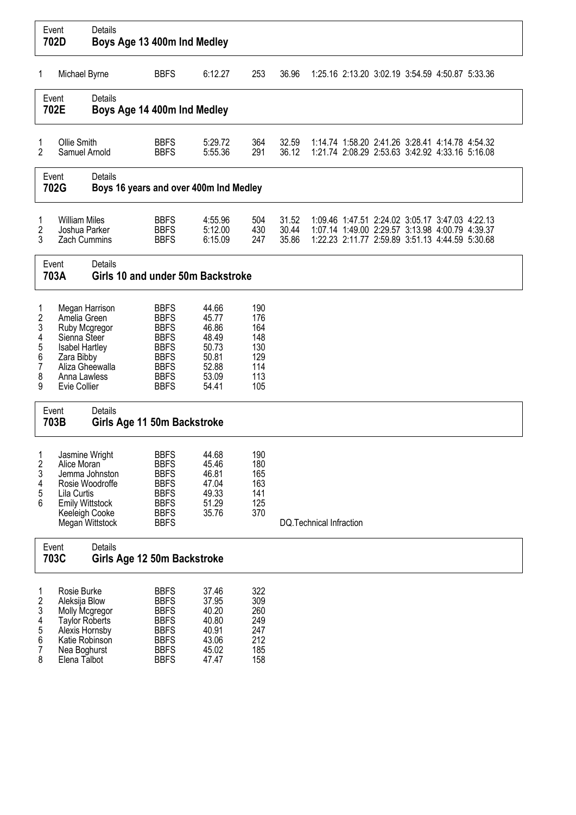|                                                                     | Event<br>702D                                                                                                                                      | Details<br>Boys Age 13 400m Ind Medley            |                                                                                                                                     |                                                                               |                                                             |                         |                         |                                                                                                                                                       |  |  |
|---------------------------------------------------------------------|----------------------------------------------------------------------------------------------------------------------------------------------------|---------------------------------------------------|-------------------------------------------------------------------------------------------------------------------------------------|-------------------------------------------------------------------------------|-------------------------------------------------------------|-------------------------|-------------------------|-------------------------------------------------------------------------------------------------------------------------------------------------------|--|--|
| 1                                                                   | Michael Byrne                                                                                                                                      |                                                   | <b>BBFS</b>                                                                                                                         | 6:12.27                                                                       | 253                                                         | 36.96                   |                         | 1:25.16 2:13.20 3:02.19 3:54.59 4:50.87 5:33.36                                                                                                       |  |  |
|                                                                     | Event<br>702E                                                                                                                                      | Details<br>Boys Age 14 400m Ind Medley            |                                                                                                                                     |                                                                               |                                                             |                         |                         |                                                                                                                                                       |  |  |
| 1<br>2                                                              | Ollie Smith<br>Samuel Arnold                                                                                                                       |                                                   | <b>BBFS</b><br><b>BBFS</b>                                                                                                          | 5:29.72<br>5:55.36                                                            | 364<br>291                                                  | 32.59<br>36.12          |                         | 1:14.74 1:58.20 2:41.26 3:28.41 4:14.78 4:54.32<br>1:21.74 2:08.29 2:53.63 3:42.92 4:33.16 5:16.08                                                    |  |  |
|                                                                     | Event<br>702G                                                                                                                                      | Details<br>Boys 16 years and over 400m Ind Medley |                                                                                                                                     |                                                                               |                                                             |                         |                         |                                                                                                                                                       |  |  |
| 1<br>2<br>3                                                         | <b>William Miles</b><br>Joshua Parker<br><b>Zach Cummins</b>                                                                                       |                                                   | <b>BBFS</b><br><b>BBFS</b><br><b>BBFS</b>                                                                                           | 4:55.96<br>5:12.00<br>6:15.09                                                 | 504<br>430<br>247                                           | 31.52<br>30.44<br>35.86 |                         | 1:09.46 1:47.51 2:24.02 3:05.17 3:47.03 4:22.13<br>1:07.14 1:49.00 2:29.57 3:13.98 4:00.79 4:39.37<br>1:22.23 2:11.77 2:59.89 3:51.13 4:44.59 5:30.68 |  |  |
|                                                                     | Event<br>703A                                                                                                                                      | Details<br>Girls 10 and under 50m Backstroke      |                                                                                                                                     |                                                                               |                                                             |                         |                         |                                                                                                                                                       |  |  |
| 1<br>$\overline{2}$<br>3<br>4<br>5<br>6<br>$\overline{7}$<br>8<br>9 | Megan Harrison<br>Amelia Green<br>Ruby Mcgregor<br>Sienna Steer<br>Isabel Hartley<br>Zara Bibby<br>Aliza Gheewalla<br>Anna Lawless<br>Evie Collier |                                                   | <b>BBFS</b><br><b>BBFS</b><br><b>BBFS</b><br><b>BBFS</b><br><b>BBFS</b><br><b>BBFS</b><br><b>BBFS</b><br><b>BBFS</b><br><b>BBFS</b> | 44.66<br>45.77<br>46.86<br>48.49<br>50.73<br>50.81<br>52.88<br>53.09<br>54.41 | 190<br>176<br>164<br>148<br>130<br>129<br>114<br>113<br>105 |                         |                         |                                                                                                                                                       |  |  |
|                                                                     | Event<br>703B                                                                                                                                      | Details<br>Girls Age 11 50m Backstroke            |                                                                                                                                     |                                                                               |                                                             |                         |                         |                                                                                                                                                       |  |  |
| 1<br>$\overline{c}$<br>3<br>4<br>5<br>6                             | Jasmine Wright<br>Alice Moran<br>Rosie Woodroffe<br>Lila Curtis<br><b>Emily Wittstock</b><br>Keeleigh Cooke                                        | Jemma Johnston<br>Megan Wittstock                 | <b>BBFS</b><br><b>BBFS</b><br><b>BBFS</b><br><b>BBFS</b><br><b>BBFS</b><br><b>BBFS</b><br><b>BBFS</b><br><b>BBFS</b>                | 44.68<br>45.46<br>46.81<br>47.04<br>49.33<br>51.29<br>35.76                   | 190<br>180<br>165<br>163<br>141<br>125<br>370               |                         | DQ.Technical Infraction |                                                                                                                                                       |  |  |
|                                                                     | Event<br>703C                                                                                                                                      | Details<br>Girls Age 12 50m Backstroke            |                                                                                                                                     |                                                                               |                                                             |                         |                         |                                                                                                                                                       |  |  |
| 1<br>$\overline{c}$<br>3<br>4<br>5<br>6<br>7<br>8                   | Rosie Burke<br>Aleksija Blow<br>Molly Mcgregor<br><b>Taylor Roberts</b><br>Alexis Hornsby<br>Katie Robinson<br>Nea Boghurst<br>Elena Talbot        |                                                   | <b>BBFS</b><br><b>BBFS</b><br><b>BBFS</b><br><b>BBFS</b><br><b>BBFS</b><br><b>BBFS</b><br><b>BBFS</b><br><b>BBFS</b>                | 37.46<br>37.95<br>40.20<br>40.80<br>40.91<br>43.06<br>45.02<br>47.47          | 322<br>309<br>260<br>249<br>247<br>212<br>185<br>158        |                         |                         |                                                                                                                                                       |  |  |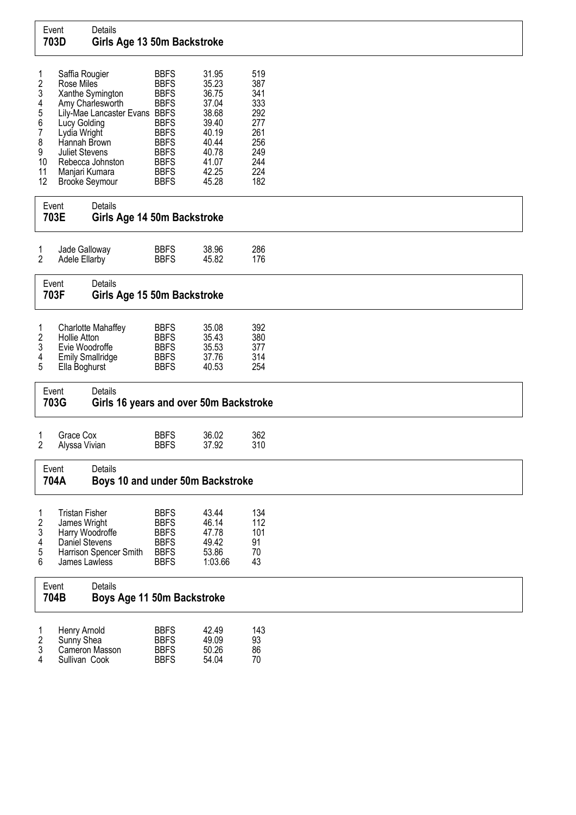## Event Details<br>**703D Girls** Girls Age 13 50m Backstroke

| 1  | Saffia Rougier           | <b>BBFS</b> | 31.95 | 519 |
|----|--------------------------|-------------|-------|-----|
| 2  | Rose Miles               | <b>BBFS</b> | 35.23 | 387 |
| 3  | Xanthe Symington         | <b>BBFS</b> | 36.75 | 341 |
| 4  | Amy Charlesworth         | <b>BBFS</b> | 37.04 | 333 |
| 5  | Lily-Mae Lancaster Evans | <b>BBFS</b> | 38.68 | 292 |
| 6  | Lucy Golding             | <b>BBFS</b> | 39.40 | 277 |
| 7  | Lydia Wright             | <b>BBFS</b> | 40.19 | 261 |
| 8  | Hannah Brown             | <b>BBFS</b> | 40.44 | 256 |
| 9  | <b>Juliet Stevens</b>    | <b>BBFS</b> | 40.78 | 249 |
| 10 | Rebecca Johnston         | <b>BBFS</b> | 41.07 | 244 |
| 11 | Manjari Kumara           | <b>BBFS</b> | 42.25 | 224 |
| 12 | <b>Brooke Seymour</b>    | <b>BBFS</b> | 45.28 | 182 |

# Event Details<br>**703E Girls** Girls Age 14 50m Backstroke

| Jade Galloway | <b>BBFS</b> | 38.96 | 286 |
|---------------|-------------|-------|-----|
| Adele Ellarby | <b>BBFS</b> | 45.82 | 176 |

## Event Details<br>**703F Girls** Girls Age 15 50m Backstroke

| 2<br>3<br>4<br>-5 | Charlotte Mahaffey<br>Hollie Atton<br>Evie Woodroffe<br><b>Emily Smallridge</b><br>Ella Boghurst | <b>BBFS</b><br><b>BBFS</b><br><b>BBFS</b><br><b>BBFS</b><br><b>BBFS</b> | 35.08<br>35.43<br>35.53<br>37.76<br>40.53 | 392<br>380<br>377<br>314<br>254 |
|-------------------|--------------------------------------------------------------------------------------------------|-------------------------------------------------------------------------|-------------------------------------------|---------------------------------|
|-------------------|--------------------------------------------------------------------------------------------------|-------------------------------------------------------------------------|-------------------------------------------|---------------------------------|

Event Details<br>**703G Girls** Girls 16 years and over 50m Backstroke

| Grace Cox       | <b>BBFS</b> | 36.02 | 362 |
|-----------------|-------------|-------|-----|
| 2 Alyssa Vivian | <b>BBFS</b> | 37.92 | 310 |

### Event Details 704A Boys 10 and under 50m Backstroke

| 2<br>3<br>4<br>-5 | <b>Tristan Fisher</b><br>James Wright<br>Harry Woodroffe<br>Daniel Stevens<br>Harrison Spencer Smith | <b>BBFS</b><br><b>BBFS</b><br><b>BBFS</b><br><b>BBFS</b><br><b>BBFS</b> | 43.44<br>46.14<br>47.78<br>49.42<br>53.86 | 134<br>112<br>101<br>91<br>70 |
|-------------------|------------------------------------------------------------------------------------------------------|-------------------------------------------------------------------------|-------------------------------------------|-------------------------------|
| 6                 | James Lawless                                                                                        | <b>BBFS</b>                                                             | 1:03.66                                   | 43                            |

|        | Details<br>Event<br>704B        | Boys Age 11 50m Backstroke         |                           |                            |  |  |
|--------|---------------------------------|------------------------------------|---------------------------|----------------------------|--|--|
| $\sim$ | Henry Arnold<br>Sunny Shea<br>. | <b>BBFS</b><br><b>BBFS</b><br>---- | 42.49<br>49.09<br>$-0.00$ | 143<br>93<br>$\sim$ $\sim$ |  |  |

| $\epsilon$ | <b>SUILLY SILCA</b> | ט וטט       | 43.UJ | ວບ |
|------------|---------------------|-------------|-------|----|
|            | Cameron Masson      | <b>BBFS</b> | 50.26 | 86 |
| 4          | Sullivan Cook       | <b>BBFS</b> | 54.04 | 70 |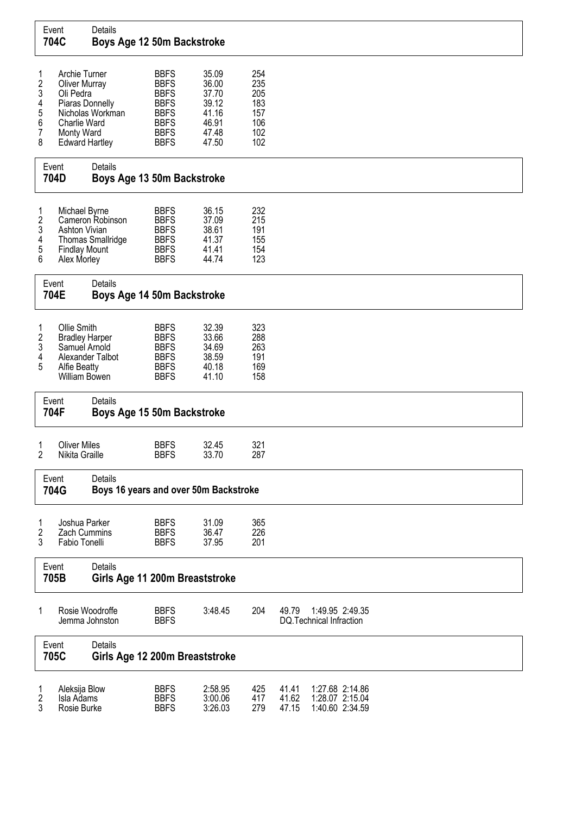|                                             | Event<br>704C                                                                                                                | Details<br>Boys Age 12 50m Backstroke            |                                                                                                                      |                                                                      |                                                      |                         |                                                       |  |  |
|---------------------------------------------|------------------------------------------------------------------------------------------------------------------------------|--------------------------------------------------|----------------------------------------------------------------------------------------------------------------------|----------------------------------------------------------------------|------------------------------------------------------|-------------------------|-------------------------------------------------------|--|--|
| 1<br>$\frac{2}{3}$<br>4<br>5<br>6<br>7<br>8 | Archie Turner<br><b>Oliver Murray</b><br>Oli Pedra<br>Piaras Donnelly<br>Charlie Ward<br>Monty Ward<br><b>Edward Hartley</b> | Nicholas Workman                                 | <b>BBFS</b><br><b>BBFS</b><br><b>BBFS</b><br><b>BBFS</b><br><b>BBFS</b><br><b>BBFS</b><br><b>BBFS</b><br><b>BBFS</b> | 35.09<br>36.00<br>37.70<br>39.12<br>41.16<br>46.91<br>47.48<br>47.50 | 254<br>235<br>205<br>183<br>157<br>106<br>102<br>102 |                         |                                                       |  |  |
|                                             | Event<br>704D                                                                                                                | Details<br>Boys Age 13 50m Backstroke            |                                                                                                                      |                                                                      |                                                      |                         |                                                       |  |  |
| 1<br>$\boldsymbol{2}$<br>3<br>4<br>5<br>6   | Michael Byrne<br><b>Ashton Vivian</b><br><b>Findlay Mount</b><br>Alex Morley                                                 | Cameron Robinson<br><b>Thomas Smallridge</b>     | <b>BBFS</b><br><b>BBFS</b><br><b>BBFS</b><br><b>BBFS</b><br><b>BBFS</b><br><b>BBFS</b>                               | 36.15<br>37.09<br>38.61<br>41.37<br>41.41<br>44.74                   | 232<br>215<br>191<br>155<br>154<br>123               |                         |                                                       |  |  |
|                                             | Event<br>704E                                                                                                                | Details<br>Boys Age 14 50m Backstroke            |                                                                                                                      |                                                                      |                                                      |                         |                                                       |  |  |
| 1<br>2<br>3<br>4<br>5                       | Ollie Smith<br><b>Bradley Harper</b><br>Samuel Arnold<br>Alexander Talbot<br><b>Alfie Beatty</b><br>William Bowen            |                                                  | <b>BBFS</b><br><b>BBFS</b><br><b>BBFS</b><br><b>BBFS</b><br><b>BBFS</b><br><b>BBFS</b>                               | 32.39<br>33.66<br>34.69<br>38.59<br>40.18<br>41.10                   | 323<br>288<br>263<br>191<br>169<br>158               |                         |                                                       |  |  |
|                                             | Event<br>704F                                                                                                                | Details<br>Boys Age 15 50m Backstroke            |                                                                                                                      |                                                                      |                                                      |                         |                                                       |  |  |
| 1<br>2                                      | <b>Oliver Miles</b><br>Nikita Graille                                                                                        |                                                  | <b>BBFS</b><br><b>BBFS</b>                                                                                           | 32.45<br>33.70                                                       | 321<br>287                                           |                         |                                                       |  |  |
|                                             | Event<br>704G                                                                                                                | Details<br>Boys 16 years and over 50m Backstroke |                                                                                                                      |                                                                      |                                                      |                         |                                                       |  |  |
| 1<br>$\overline{2}$<br>3                    | Joshua Parker<br>Zach Cummins<br>Fabio Tonelli                                                                               |                                                  | <b>BBFS</b><br><b>BBFS</b><br><b>BBFS</b>                                                                            | 31.09<br>36.47<br>37.95                                              | 365<br>226<br>201                                    |                         |                                                       |  |  |
|                                             | Event<br>705B                                                                                                                | <b>Details</b><br>Girls Age 11 200m Breaststroke |                                                                                                                      |                                                                      |                                                      |                         |                                                       |  |  |
| 1                                           | Rosie Woodroffe<br>Jemma Johnston                                                                                            |                                                  | <b>BBFS</b><br><b>BBFS</b>                                                                                           | 3:48.45                                                              | 204                                                  | 49.79                   | 1:49.95 2:49.35<br>DQ.Technical Infraction            |  |  |
|                                             | Event<br>705C                                                                                                                | Details<br>Girls Age 12 200m Breaststroke        |                                                                                                                      |                                                                      |                                                      |                         |                                                       |  |  |
| 1<br>2<br>3                                 | Aleksija Blow<br>Isla Adams<br>Rosie Burke                                                                                   |                                                  | <b>BBFS</b><br><b>BBFS</b><br><b>BBFS</b>                                                                            | 2:58.95<br>3:00.06<br>3:26.03                                        | 425<br>417<br>279                                    | 41.41<br>41.62<br>47.15 | 1:27.68 2:14.86<br>1:28.07 2:15.04<br>1:40.60 2:34.59 |  |  |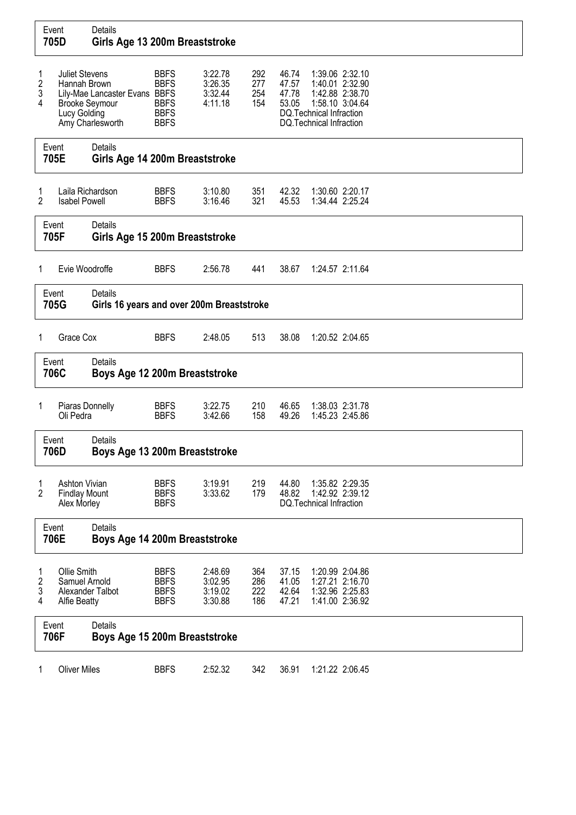|                  | Event<br>705D                                                                  | Details<br>Girls Age 13 200m Breaststroke                   |                                                                         |                                          |                          |                                  |                                                                                           |                                                                          |
|------------------|--------------------------------------------------------------------------------|-------------------------------------------------------------|-------------------------------------------------------------------------|------------------------------------------|--------------------------|----------------------------------|-------------------------------------------------------------------------------------------|--------------------------------------------------------------------------|
| 1<br>2<br>3<br>4 | <b>Juliet Stevens</b><br>Hannah Brown<br><b>Brooke Seymour</b><br>Lucy Golding | Lily-Mae Lancaster Evans BBFS<br>Amy Charlesworth           | <b>BBFS</b><br><b>BBFS</b><br><b>BBFS</b><br><b>BBFS</b><br><b>BBFS</b> | 3:22.78<br>3:26.35<br>3:32.44<br>4:11.18 | 292<br>277<br>254<br>154 | 46.74<br>47.57<br>47.78<br>53.05 | 1:42.88 2:38.70<br>1:58.10 3:04.64<br>DQ.Technical Infraction<br>DQ. Technical Infraction | 1:39.06 2:32.10<br>1:40.01 2:32.90                                       |
|                  | Event<br>705E                                                                  | Details<br>Girls Age 14 200m Breaststroke                   |                                                                         |                                          |                          |                                  |                                                                                           |                                                                          |
| 1<br>2           | Laila Richardson<br><b>Isabel Powell</b>                                       |                                                             | <b>BBFS</b><br><b>BBFS</b>                                              | 3:10.80<br>3:16.46                       | 351<br>321               | 42.32<br>45.53                   |                                                                                           | 1:30.60 2:20.17<br>1:34.44 2:25.24                                       |
|                  | Event<br>705F                                                                  | <b>Details</b><br>Girls Age 15 200m Breaststroke            |                                                                         |                                          |                          |                                  |                                                                                           |                                                                          |
| 1                | Evie Woodroffe                                                                 |                                                             | <b>BBFS</b>                                                             | 2:56.78                                  | 441                      | 38.67                            |                                                                                           | 1:24.57 2:11.64                                                          |
|                  | Event<br>705G                                                                  | <b>Details</b><br>Girls 16 years and over 200m Breaststroke |                                                                         |                                          |                          |                                  |                                                                                           |                                                                          |
| 1                | Grace Cox                                                                      |                                                             | <b>BBFS</b>                                                             | 2:48.05                                  | 513                      | 38.08                            | 1:20.52 2:04.65                                                                           |                                                                          |
|                  | Event<br>706C                                                                  | Details<br>Boys Age 12 200m Breaststroke                    |                                                                         |                                          |                          |                                  |                                                                                           |                                                                          |
| 1                | Piaras Donnelly<br>Oli Pedra                                                   |                                                             | <b>BBFS</b><br><b>BBFS</b>                                              | 3:22.75<br>3:42.66                       | 210<br>158               | 46.65<br>49.26                   |                                                                                           | 1:38.03 2:31.78<br>1:45.23 2:45.86                                       |
|                  | Event<br>706D                                                                  | Details<br>Boys Age 13 200m Breaststroke                    |                                                                         |                                          |                          |                                  |                                                                                           |                                                                          |
| 1<br>2           | <b>Ashton Vivian</b><br><b>Findlay Mount</b><br>Alex Morley                    |                                                             | <b>BBFS</b><br><b>BBFS</b><br><b>BBFS</b>                               | 3:19.91<br>3:33.62                       | 219<br>179               | 44.80<br>48.82                   | DQ. Technical Infraction                                                                  | 1:35.82 2:29.35<br>1:42.92 2:39.12                                       |
|                  | Event<br>706E                                                                  | <b>Details</b><br>Boys Age 14 200m Breaststroke             |                                                                         |                                          |                          |                                  |                                                                                           |                                                                          |
| 1<br>2<br>3<br>4 | Ollie Smith<br>Samuel Arnold<br>Alexander Talbot<br><b>Alfie Beatty</b>        |                                                             | <b>BBFS</b><br><b>BBFS</b><br><b>BBFS</b><br><b>BBFS</b>                | 2:48.69<br>3:02.95<br>3:19.02<br>3:30.88 | 364<br>286<br>222<br>186 | 37.15<br>41.05<br>42.64<br>47.21 |                                                                                           | 1:20.99 2:04.86<br>1:27.21 2:16.70<br>1:32.96 2:25.83<br>1:41.00 2:36.92 |
|                  | Event<br>706F                                                                  | Details<br>Boys Age 15 200m Breaststroke                    |                                                                         |                                          |                          |                                  |                                                                                           |                                                                          |
| 1                | <b>Oliver Miles</b>                                                            |                                                             | <b>BBFS</b>                                                             | 2:52.32                                  | 342                      | 36.91                            |                                                                                           | 1:21.22 2:06.45                                                          |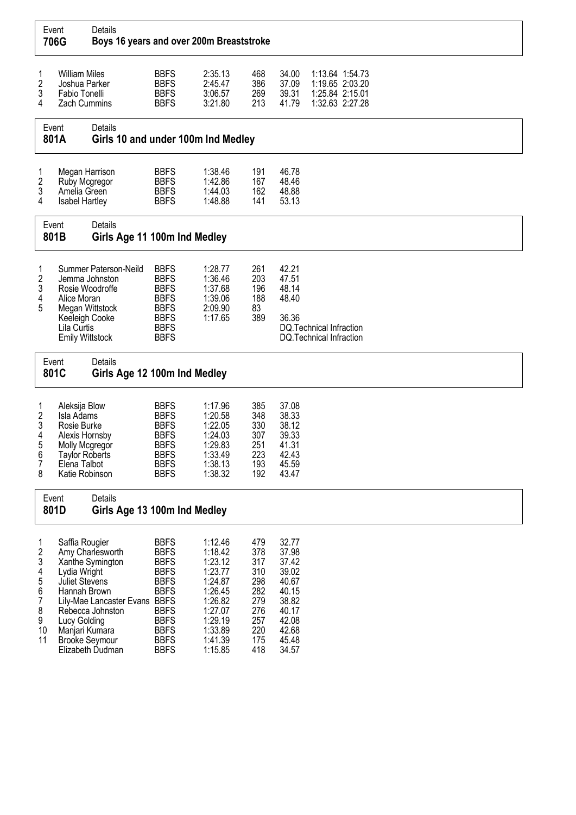|                                                                                   | Event<br>706G                                                                                                                             | Details<br>Boys 16 years and over 200m Breaststroke                                                           |                                                                                                                                                                   |                                                                                                                                  |                                                                                  |                                                                                                          |                                                                          |  |  |  |
|-----------------------------------------------------------------------------------|-------------------------------------------------------------------------------------------------------------------------------------------|---------------------------------------------------------------------------------------------------------------|-------------------------------------------------------------------------------------------------------------------------------------------------------------------|----------------------------------------------------------------------------------------------------------------------------------|----------------------------------------------------------------------------------|----------------------------------------------------------------------------------------------------------|--------------------------------------------------------------------------|--|--|--|
| 1<br>$\boldsymbol{2}$<br>3<br>4                                                   | <b>William Miles</b><br>Joshua Parker<br>Fabio Tonelli<br><b>Zach Cummins</b>                                                             |                                                                                                               | <b>BBFS</b><br><b>BBFS</b><br><b>BBFS</b><br><b>BBFS</b>                                                                                                          | 2:35.13<br>2:45.47<br>3:06.57<br>3:21.80                                                                                         | 468<br>386<br>269<br>213                                                         | 34.00<br>37.09<br>39.31<br>41.79                                                                         | 1:13.64 1:54.73<br>1:19.65 2:03.20<br>1:25.84 2:15.01<br>1:32.63 2:27.28 |  |  |  |
|                                                                                   | Event<br>801A                                                                                                                             | Details<br>Girls 10 and under 100m Ind Medley                                                                 |                                                                                                                                                                   |                                                                                                                                  |                                                                                  |                                                                                                          |                                                                          |  |  |  |
| 1<br>2<br>3<br>4                                                                  | Megan Harrison<br>Ruby Mcgregor<br>Amelia Green<br><b>Isabel Hartley</b>                                                                  |                                                                                                               | <b>BBFS</b><br><b>BBFS</b><br><b>BBFS</b><br><b>BBFS</b>                                                                                                          | 1:38.46<br>1:42.86<br>1:44.03<br>1:48.88                                                                                         | 191<br>167<br>162<br>141                                                         | 46.78<br>48.46<br>48.88<br>53.13                                                                         |                                                                          |  |  |  |
| Event<br>801B                                                                     |                                                                                                                                           | Details<br>Girls Age 11 100m Ind Medley                                                                       |                                                                                                                                                                   |                                                                                                                                  |                                                                                  |                                                                                                          |                                                                          |  |  |  |
| 1<br>2<br>3<br>4<br>5                                                             | Jemma Johnston<br>Rosie Woodroffe<br>Alice Moran<br>Megan Wittstock<br>Keeleigh Cooke<br>Lila Curtis<br>Emily Wittstock                   | Summer Paterson-Neild                                                                                         | <b>BBFS</b><br><b>BBFS</b><br><b>BBFS</b><br><b>BBFS</b><br><b>BBFS</b><br><b>BBFS</b><br><b>BBFS</b><br><b>BBFS</b>                                              | 1:28.77<br>1:36.46<br>1:37.68<br>1:39.06<br>2:09.90<br>1:17.65                                                                   | 261<br>203<br>196<br>188<br>83<br>389                                            | 42.21<br>47.51<br>48.14<br>48.40<br>36.36                                                                | DQ.Technical Infraction<br>DQ. Technical Infraction                      |  |  |  |
|                                                                                   | Event<br>801C                                                                                                                             | Details<br>Girls Age 12 100m Ind Medley                                                                       |                                                                                                                                                                   |                                                                                                                                  |                                                                                  |                                                                                                          |                                                                          |  |  |  |
| 1<br>$\boldsymbol{2}$<br>3<br>4<br>5<br>6<br>7<br>8                               | Aleksija Blow<br>Isla Adams<br>Rosie Burke<br>Alexis Hornsby<br>Molly Mcgregor<br><b>Taylor Roberts</b><br>Elena Talbot<br>Katie Robinson |                                                                                                               | <b>BBFS</b><br><b>BBFS</b><br><b>BBFS</b><br><b>BBFS</b><br><b>BBFS</b><br><b>BBFS</b><br><b>BBFS</b><br><b>BBFS</b>                                              | 1:17.96<br>1:20.58<br>1:22.05<br>1:24.03<br>1:29.83<br>1:33.49<br>1:38.13<br>1:38.32                                             | 385<br>348<br>330<br>307<br>251<br>223<br>193<br>192                             | 37.08<br>38.33<br>38.12<br>39.33<br>41.31<br>42.43<br>45.59<br>43.47                                     |                                                                          |  |  |  |
|                                                                                   | Event<br>801D                                                                                                                             | Details<br>Girls Age 13 100m Ind Medley                                                                       |                                                                                                                                                                   |                                                                                                                                  |                                                                                  |                                                                                                          |                                                                          |  |  |  |
| 1<br>$\boldsymbol{2}$<br>3<br>4<br>5<br>6<br>$\overline{7}$<br>8<br>9<br>10<br>11 | Saffia Rougier<br>Lydia Wright<br>Juliet Stevens<br>Hannah Brown<br>Lucy Golding<br>Manjari Kumara<br><b>Brooke Seymour</b>               | Amy Charlesworth<br>Xanthe Symington<br>Lily-Mae Lancaster Evans BBFS<br>Rebecca Johnston<br>Elizabeth Dudman | <b>BBFS</b><br><b>BBFS</b><br><b>BBFS</b><br><b>BBFS</b><br><b>BBFS</b><br><b>BBFS</b><br><b>BBFS</b><br><b>BBFS</b><br><b>BBFS</b><br><b>BBFS</b><br><b>BBFS</b> | 1:12.46<br>1:18.42<br>1:23.12<br>1:23.77<br>1:24.87<br>1:26.45<br>1:26.82<br>1:27.07<br>1:29.19<br>1:33.89<br>1:41.39<br>1:15.85 | 479<br>378<br>317<br>310<br>298<br>282<br>279<br>276<br>257<br>220<br>175<br>418 | 32.77<br>37.98<br>37.42<br>39.02<br>40.67<br>40.15<br>38.82<br>40.17<br>42.08<br>42.68<br>45.48<br>34.57 |                                                                          |  |  |  |

┑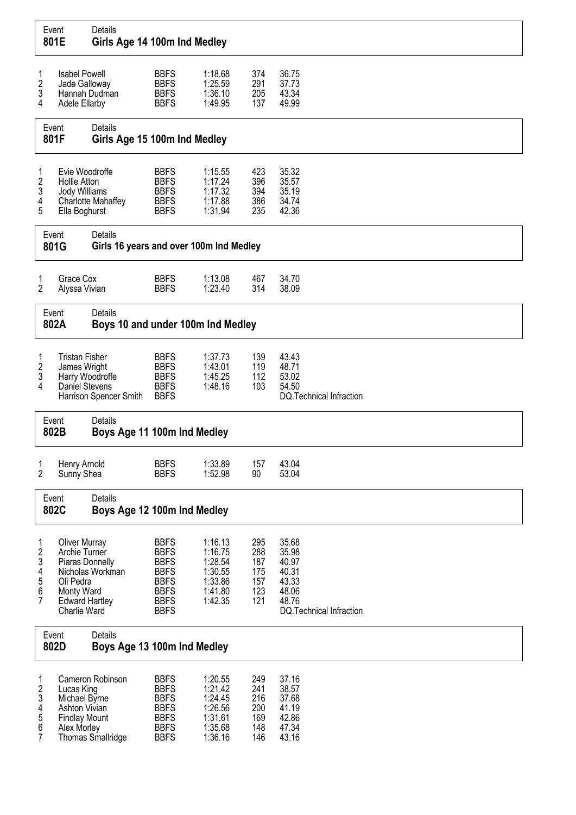|                                        | Event<br>801E                                                                                                                | Details<br>Girls Age 14 100m Ind Medley            |                                                                                                                      |                                                                           |                                               |                                                                                        |
|----------------------------------------|------------------------------------------------------------------------------------------------------------------------------|----------------------------------------------------|----------------------------------------------------------------------------------------------------------------------|---------------------------------------------------------------------------|-----------------------------------------------|----------------------------------------------------------------------------------------|
| 1<br>$\overline{\mathbf{c}}$<br>3<br>4 | <b>Isabel Powell</b><br>Jade Galloway<br>Hannah Dudman<br>Adele Ellarby                                                      |                                                    | <b>BBFS</b><br><b>BBFS</b><br><b>BBFS</b><br><b>BBFS</b>                                                             | 1:18.68<br>1:25.59<br>1:36.10<br>1:49.95                                  | 374<br>291<br>205<br>137                      | 36.75<br>37.73<br>43.34<br>49.99                                                       |
|                                        | Event<br>801F                                                                                                                | Details<br>Girls Age 15 100m Ind Medley            |                                                                                                                      |                                                                           |                                               |                                                                                        |
| 1<br>2<br>3<br>4<br>5                  | Evie Woodroffe<br><b>Hollie Atton</b><br>Jody Williams<br>Ella Boghurst                                                      | Charlotte Mahaffey                                 | <b>BBFS</b><br><b>BBFS</b><br><b>BBFS</b><br><b>BBFS</b><br><b>BBFS</b>                                              | 1:15.55<br>1:17.24<br>1:17.32<br>1:17.88<br>1:31.94                       | 423<br>396<br>394<br>386<br>235               | 35.32<br>35.57<br>35.19<br>34.74<br>42.36                                              |
|                                        | Event<br>801G                                                                                                                | Details<br>Girls 16 years and over 100m Ind Medley |                                                                                                                      |                                                                           |                                               |                                                                                        |
| 1<br>$\overline{2}$                    | Grace Cox<br>Alyssa Vivian                                                                                                   |                                                    | <b>BBFS</b><br><b>BBFS</b>                                                                                           | 1:13.08<br>1:23.40                                                        | 467<br>314                                    | 34.70<br>38.09                                                                         |
| Event<br>802A                          |                                                                                                                              | Details<br>Boys 10 and under 100m Ind Medley       |                                                                                                                      |                                                                           |                                               |                                                                                        |
| 1<br>2<br>3<br>4                       | <b>Tristan Fisher</b><br>James Wright<br>Harry Woodroffe<br>Daniel Stevens                                                   | Harrison Spencer Smith                             | <b>BBFS</b><br><b>BBFS</b><br><b>BBFS</b><br><b>BBFS</b><br><b>BBFS</b>                                              | 1:37.73<br>1:43.01<br>1:45.25<br>1:48.16                                  | 139<br>119<br>112<br>103                      | 43.43<br>48.71<br>53.02<br>54.50<br>DQ.Technical Infraction                            |
|                                        | Event<br>802B                                                                                                                | Details<br>Boys Age 11 100m Ind Medley             |                                                                                                                      |                                                                           |                                               |                                                                                        |
| $\mathbf{1}$<br>2                      | Henry Arnold<br>Sunny Shea                                                                                                   |                                                    | <b>BBFS</b><br><b>BBFS</b>                                                                                           | 1:33.89<br>1:52.98                                                        | 157<br>90                                     | 43.04<br>53.04                                                                         |
|                                        | Event<br>802C                                                                                                                | Details<br>Boys Age 12 100m Ind Medley             |                                                                                                                      |                                                                           |                                               |                                                                                        |
| 1<br>2<br>3<br>4<br>5<br>6<br>7        | <b>Oliver Murray</b><br>Archie Turner<br>Piaras Donnelly<br>Oli Pedra<br>Monty Ward<br><b>Edward Hartley</b><br>Charlie Ward | Nicholas Workman                                   | <b>BBFS</b><br><b>BBFS</b><br><b>BBFS</b><br><b>BBFS</b><br><b>BBFS</b><br><b>BBFS</b><br><b>BBFS</b><br><b>BBFS</b> | 1:16.13<br>1:16.75<br>1:28.54<br>1:30.55<br>1:33.86<br>1:41.80<br>1:42.35 | 295<br>288<br>187<br>175<br>157<br>123<br>121 | 35.68<br>35.98<br>40.97<br>40.31<br>43.33<br>48.06<br>48.76<br>DQ.Technical Infraction |
|                                        | Event<br>802D                                                                                                                | Details<br>Boys Age 13 100m Ind Medley             |                                                                                                                      |                                                                           |                                               |                                                                                        |
| 1<br>2<br>3<br>4<br>5<br>6<br>7        | Lucas King<br>Michael Byrne<br>Ashton Vivian<br><b>Findlay Mount</b><br>Alex Morley                                          | Cameron Robinson<br>Thomas Smallridge              | <b>BBFS</b><br><b>BBFS</b><br><b>BBFS</b><br><b>BBFS</b><br><b>BBFS</b><br><b>BBFS</b><br><b>BBFS</b>                | 1:20.55<br>1:21.42<br>1:24.45<br>1:26.56<br>1:31.61<br>1:35.68<br>1:36.16 | 249<br>241<br>216<br>200<br>169<br>148<br>146 | 37.16<br>38.57<br>37.68<br>41.19<br>42.86<br>47.34<br>43.16                            |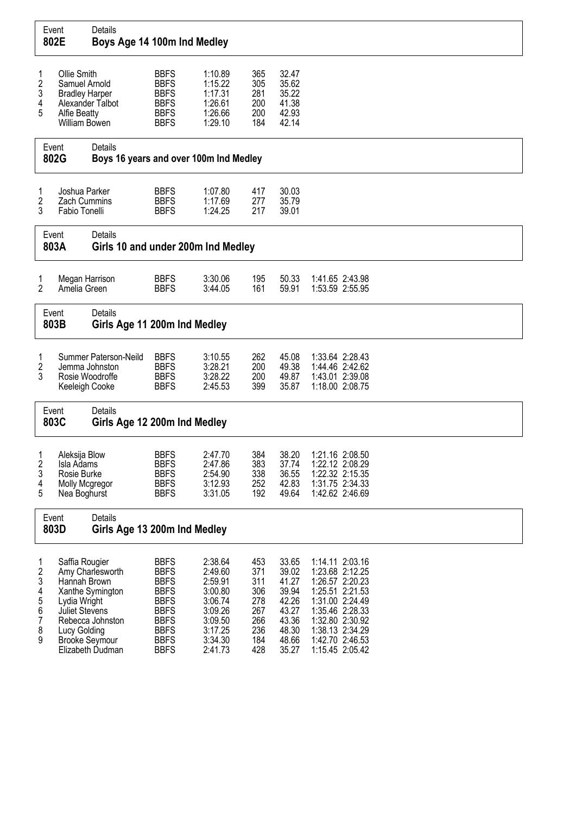|                                           | Event<br>802E                                                                                 | Details<br>Boys Age 14 100m Ind Medley                                                                |                                                                                                                                                    |                                                                                                            |                                                                    |                                                                                        |                                                                                                                                                                                            |
|-------------------------------------------|-----------------------------------------------------------------------------------------------|-------------------------------------------------------------------------------------------------------|----------------------------------------------------------------------------------------------------------------------------------------------------|------------------------------------------------------------------------------------------------------------|--------------------------------------------------------------------|----------------------------------------------------------------------------------------|--------------------------------------------------------------------------------------------------------------------------------------------------------------------------------------------|
| 1<br>2<br>3<br>4<br>5                     | Ollie Smith<br>Samuel Arnold<br><b>Bradley Harper</b><br><b>Alfie Beatty</b><br>William Bowen | Alexander Talbot                                                                                      | <b>BBFS</b><br><b>BBFS</b><br><b>BBFS</b><br><b>BBFS</b><br><b>BBFS</b><br><b>BBFS</b>                                                             | 1:10.89<br>1:15.22<br>1:17.31<br>1:26.61<br>1:26.66<br>1:29.10                                             | 365<br>305<br>281<br>200<br>200<br>184                             | 32.47<br>35.62<br>35.22<br>41.38<br>42.93<br>42.14                                     |                                                                                                                                                                                            |
|                                           | Event<br>802G                                                                                 | Details<br>Boys 16 years and over 100m Ind Medley                                                     |                                                                                                                                                    |                                                                                                            |                                                                    |                                                                                        |                                                                                                                                                                                            |
| 1<br>2<br>3                               | Joshua Parker<br><b>Zach Cummins</b><br>Fabio Tonelli                                         |                                                                                                       | <b>BBFS</b><br><b>BBFS</b><br><b>BBFS</b>                                                                                                          | 1:07.80<br>1:17.69<br>1:24.25                                                                              | 417<br>277<br>217                                                  | 30.03<br>35.79<br>39.01                                                                |                                                                                                                                                                                            |
|                                           | Event<br>803A                                                                                 | Details<br>Girls 10 and under 200m Ind Medley                                                         |                                                                                                                                                    |                                                                                                            |                                                                    |                                                                                        |                                                                                                                                                                                            |
| 1<br>$\overline{2}$                       | Megan Harrison<br>Amelia Green                                                                |                                                                                                       | <b>BBFS</b><br><b>BBFS</b>                                                                                                                         | 3:30.06<br>3:44.05                                                                                         | 195<br>161                                                         | 50.33<br>59.91                                                                         | 1:41.65 2:43.98<br>1:53.59 2:55.95                                                                                                                                                         |
|                                           | Event<br>803B                                                                                 | Details<br>Girls Age 11 200m Ind Medley                                                               |                                                                                                                                                    |                                                                                                            |                                                                    |                                                                                        |                                                                                                                                                                                            |
| 1<br>2<br>3                               | Rosie Woodroffe<br>Keeleigh Cooke                                                             | Summer Paterson-Neild<br>Jemma Johnston                                                               | <b>BBFS</b><br><b>BBFS</b><br><b>BBFS</b><br><b>BBFS</b>                                                                                           | 3:10.55<br>3:28.21<br>3:28.22<br>2:45.53                                                                   | 262<br>200<br>200<br>399                                           | 45.08<br>49.38<br>49.87<br>35.87                                                       | 1:33.64 2:28.43<br>1:44.46 2:42.62<br>1:43.01 2:39.08<br>1:18.00 2:08.75                                                                                                                   |
|                                           | Event<br>803C                                                                                 | Details<br>Girls Age 12 200m Ind Medley                                                               |                                                                                                                                                    |                                                                                                            |                                                                    |                                                                                        |                                                                                                                                                                                            |
| 1<br>$\overline{c}$<br>3<br>4<br>5        | Aleksija Blow<br>Isla Adams<br>Rosie Burke<br>Molly Mcgregor<br>Nea Boghurst                  |                                                                                                       | <b>BBFS</b><br><b>BBFS</b><br><b>BBFS</b><br><b>BBFS</b><br><b>BBFS</b>                                                                            | 2:47.70<br>2:47.86<br>2:54.90<br>3:12.93<br>3:31.05                                                        | 384<br>383<br>338<br>252<br>192                                    | 38.20<br>37.74<br>36.55<br>42.83<br>49.64                                              | 1:21.16 2:08.50<br>1:22.12 2:08.29<br>1:22.32 2:15.35<br>1:31.75 2:34.33<br>1:42.62 2:46.69                                                                                                |
|                                           | Event<br>803D                                                                                 | Details<br>Girls Age 13 200m Ind Medley                                                               |                                                                                                                                                    |                                                                                                            |                                                                    |                                                                                        |                                                                                                                                                                                            |
| 1<br>2<br>3<br>4<br>5<br>6<br>7<br>8<br>9 | Saffia Rougier<br>Hannah Brown<br>Lydia Wright<br><b>Juliet Stevens</b><br>Lucy Golding       | Amy Charlesworth<br>Xanthe Symington<br>Rebecca Johnston<br><b>Brooke Seymour</b><br>Elizabeth Dudman | <b>BBFS</b><br><b>BBFS</b><br><b>BBFS</b><br><b>BBFS</b><br><b>BBFS</b><br><b>BBFS</b><br><b>BBFS</b><br><b>BBFS</b><br><b>BBFS</b><br><b>BBFS</b> | 2:38.64<br>2:49.60<br>2:59.91<br>3:00.80<br>3:06.74<br>3:09.26<br>3:09.50<br>3:17.25<br>3:34.30<br>2:41.73 | 453<br>371<br>311<br>306<br>278<br>267<br>266<br>236<br>184<br>428 | 33.65<br>39.02<br>41.27<br>39.94<br>42.26<br>43.27<br>43.36<br>48.30<br>48.66<br>35.27 | 1:14.11 2:03.16<br>1:23.68 2:12.25<br>1:26.57 2:20.23<br>1:25.51 2:21.53<br>1:31.00 2:24.49<br>1:35.46 2:28.33<br>1:32.80 2:30.92<br>1:38.13 2:34.29<br>1:42.70 2:46.53<br>1:15.45 2:05.42 |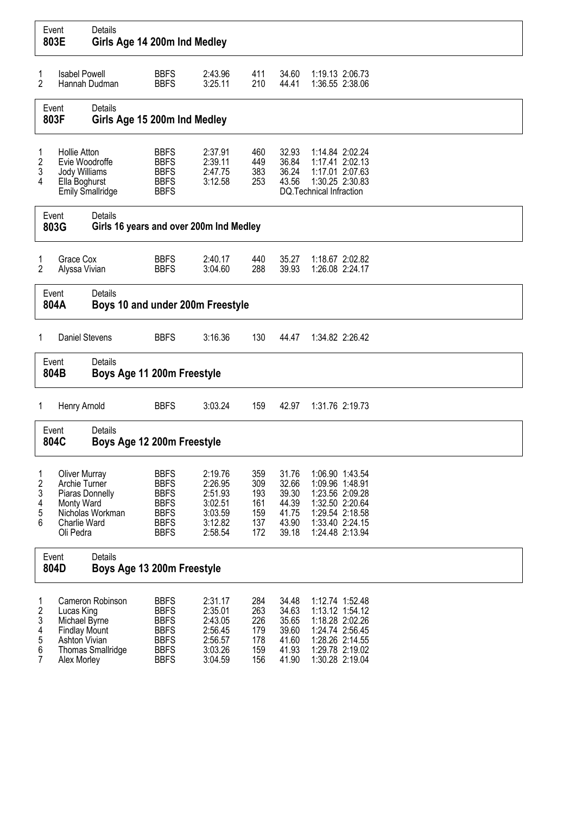|                                 | Event<br>803E                                                                                       | Details<br>Girls Age 14 200m Ind Medley                   |                                                                                                       |                                                                           |                                               |                                                             |                          |                                                                                                                                   |
|---------------------------------|-----------------------------------------------------------------------------------------------------|-----------------------------------------------------------|-------------------------------------------------------------------------------------------------------|---------------------------------------------------------------------------|-----------------------------------------------|-------------------------------------------------------------|--------------------------|-----------------------------------------------------------------------------------------------------------------------------------|
| 1<br>2                          | <b>Isabel Powell</b>                                                                                | Hannah Dudman                                             | <b>BBFS</b><br><b>BBFS</b>                                                                            | 2:43.96<br>3:25.11                                                        | 411<br>210                                    | 34.60<br>44.41                                              |                          | 1:19.13 2:06.73<br>1:36.55 2:38.06                                                                                                |
|                                 | Event<br>803F                                                                                       | Details<br>Girls Age 15 200m Ind Medley                   |                                                                                                       |                                                                           |                                               |                                                             |                          |                                                                                                                                   |
| 1<br>2<br>3<br>4                | <b>Hollie Atton</b><br>Evie Woodroffe<br>Jody Williams<br>Ella Boghurst<br><b>Emily Smallridge</b>  |                                                           | <b>BBFS</b><br><b>BBFS</b><br><b>BBFS</b><br><b>BBFS</b><br><b>BBFS</b>                               | 2:37.91<br>2:39.11<br>2:47.75<br>3:12.58                                  | 460<br>449<br>383<br>253                      | 32.93<br>36.84<br>36.24<br>43.56                            | DQ. Technical Infraction | 1:14.84 2:02.24<br>1:17.41 2:02.13<br>1:17.01 2:07.63<br>1:30.25 2:30.83                                                          |
|                                 | Event<br>803G                                                                                       | <b>Details</b><br>Girls 16 years and over 200m Ind Medley |                                                                                                       |                                                                           |                                               |                                                             |                          |                                                                                                                                   |
| 1<br>2                          | Grace Cox<br>Alyssa Vivian                                                                          |                                                           | <b>BBFS</b><br><b>BBFS</b>                                                                            | 2:40.17<br>3:04.60                                                        | 440<br>288                                    | 35.27<br>39.93                                              |                          | 1:18.67 2:02.82<br>1:26.08 2:24.17                                                                                                |
|                                 | Event<br>804A                                                                                       | Details<br>Boys 10 and under 200m Freestyle               |                                                                                                       |                                                                           |                                               |                                                             |                          |                                                                                                                                   |
| 1                               | Daniel Stevens                                                                                      |                                                           | <b>BBFS</b>                                                                                           | 3:16.36                                                                   | 130                                           | 44.47                                                       |                          | 1:34.82 2:26.42                                                                                                                   |
|                                 | Event<br>804B                                                                                       | Details<br>Boys Age 11 200m Freestyle                     |                                                                                                       |                                                                           |                                               |                                                             |                          |                                                                                                                                   |
| 1                               | Henry Arnold                                                                                        |                                                           | <b>BBFS</b>                                                                                           | 3:03.24                                                                   | 159                                           | 42.97                                                       |                          | 1:31.76 2:19.73                                                                                                                   |
|                                 | Event<br>804C                                                                                       | Details<br>Boys Age 12 200m Freestyle                     |                                                                                                       |                                                                           |                                               |                                                             |                          |                                                                                                                                   |
| 1<br>2<br>3<br>4<br>5<br>6      | <b>Oliver Murray</b><br>Archie Turner<br>Piaras Donnelly<br>Monty Ward<br>Charlie Ward<br>Oli Pedra | Nicholas Workman                                          | <b>BBFS</b><br><b>BBFS</b><br><b>BBFS</b><br><b>BBFS</b><br><b>BBFS</b><br><b>BBFS</b><br><b>BBFS</b> | 2:19.76<br>2:26.95<br>2:51.93<br>3:02.51<br>3:03.59<br>3:12.82<br>2:58.54 | 359<br>309<br>193<br>161<br>159<br>137<br>172 | 31.76<br>32.66<br>39.30<br>44.39<br>41.75<br>43.90<br>39.18 |                          | 1:06.90 1:43.54<br>1:09.96 1:48.91<br>1:23.56 2:09.28<br>1:32.50 2:20.64<br>1:29.54 2:18.58<br>1:33.40 2:24.15<br>1:24.48 2:13.94 |
|                                 | Event<br>804D                                                                                       | Details<br>Boys Age 13 200m Freestyle                     |                                                                                                       |                                                                           |                                               |                                                             |                          |                                                                                                                                   |
| 1<br>2<br>3<br>4<br>5<br>6<br>7 | Lucas King<br>Michael Byrne<br><b>Findlay Mount</b><br>Ashton Vivian<br>Alex Morley                 | Cameron Robinson<br><b>Thomas Smallridge</b>              | <b>BBFS</b><br><b>BBFS</b><br><b>BBFS</b><br><b>BBFS</b><br><b>BBFS</b><br><b>BBFS</b><br><b>BBFS</b> | 2:31.17<br>2:35.01<br>2:43.05<br>2:56.45<br>2:56.57<br>3:03.26<br>3:04.59 | 284<br>263<br>226<br>179<br>178<br>159<br>156 | 34.48<br>34.63<br>35.65<br>39.60<br>41.60<br>41.93<br>41.90 |                          | 1:12.74 1:52.48<br>1:13.12 1:54.12<br>1:18.28 2:02.26<br>1:24.74 2:56.45<br>1:28.26 2:14.55<br>1:29.78 2:19.02<br>1:30.28 2:19.04 |